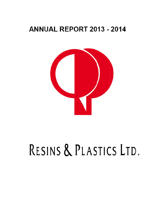# **ANNUAL REPORT 2013 - 2014**



# RESINS & PLASTICS LTD.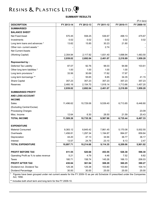### **SUMMARY RESULTS**

|                                                                                                                                                      |            |            |            |            | $($ ₹ in lacs) |
|------------------------------------------------------------------------------------------------------------------------------------------------------|------------|------------|------------|------------|----------------|
| <b>DESCRIPTION</b>                                                                                                                                   | FY 2013-14 | FY 2012-13 | FY 2011-12 | FY 2010-11 | FY 2009-10     |
| <b>SUMMARISED</b>                                                                                                                                    |            |            |            |            |                |
| <b>BALANCE SHEET</b>                                                                                                                                 |            |            |            |            |                |
| Net Fixed Asset                                                                                                                                      | 570.45     | 558.25     | 536.67     | 498.13     | 475.67         |
| Investments                                                                                                                                          | 0.02       | 0.02       | 0.02       | 0.02       | 0.02           |
| Long term loans and advances *                                                                                                                       | 13.62      | 15.85      | 30.23      | 21.80      |                |
| Other non- current assets *                                                                                                                          |            |            | 2.74       |            |                |
| <b>Net Current Assets</b>                                                                                                                            |            |            |            |            |                |
| (Working Capital)                                                                                                                                    | 2,354.94   | 2,117.92   | 1,831.40   | 1,698.94   | 1,483.50       |
|                                                                                                                                                      | 2,939.02   | 2,692.04   | 2,401.07   | 2,218.89   | 1,959.20       |
| Represented by:                                                                                                                                      |            |            |            |            |                |
| Deferred Tax Liability                                                                                                                               | 87.07      | 92.76      | 98.03      | 94.68      | 103.61         |
| Other long term liabilities *                                                                                                                        | 1.00       | 1.00       | 1.00       | 1.00       |                |
| Long term provisions *                                                                                                                               | 33.56      | 30.69      | 17.82      | 17.97      |                |
| Long term borrowings **                                                                                                                              |            | 55.65      | 8.85       | 34.35      | 41.15          |
| Share Capital                                                                                                                                        | 357.23     | 357.23     | 357.23     | 357.23     | 357.23         |
| Reserves                                                                                                                                             | 2,460.16   | 2,154.70   | 1,918.14   | 1,713.66   | 1,457.20       |
|                                                                                                                                                      | 2,939.02   | 2,692.04   | 2,401.07   | 2,218.89   | 1,959.20       |
| <b>SUMMARISED PROFIT</b>                                                                                                                             |            |            |            |            |                |
| <b>AND LOSS ACCOUNT</b>                                                                                                                              |            |            |            |            |                |
| <b>INCOME</b>                                                                                                                                        |            |            |            |            |                |
| Sales                                                                                                                                                | 11,496.62  | 10,729.06  | 9,539.40   | 6,713.85   | 6,448.80       |
| (Excluding Central Excise)                                                                                                                           |            |            |            |            |                |
| Processing Charges                                                                                                                                   |            |            |            |            | 23.09          |
| Misc. Income                                                                                                                                         | 12.64      | 6.30       | 28.50      | 21.59      | 25.43          |
| <b>TOTAL INCOME</b>                                                                                                                                  | 11,509.26  | 10,735.36  | 9,567.90   | 6,735.44   | 6,497.33       |
|                                                                                                                                                      |            |            |            |            |                |
| <b>EXPENDITURE</b>                                                                                                                                   |            |            |            |            |                |
| <b>Material Consumed</b>                                                                                                                             | 9,383.12   | 8,845.42   | 7,861.45   | 5,170.08   | 5,002.55       |
| Overheads                                                                                                                                            | 1,456.81   | 1,297.34   | 1,194.87   | 994.07     | 859.84         |
| Depreciation                                                                                                                                         | 44.20      | 47.13      | 34.94      | 36.77      | 36.17          |
| Interest                                                                                                                                             | 13.57      | 24.79      | 23.10      | 8.13       | 2.47           |
| <b>TOTAL EXPENDITURE</b>                                                                                                                             | 10,897.71  | 10,214.68  | 9,114.35   | 6,209.06   | 5,901.02       |
|                                                                                                                                                      |            |            |            |            |                |
| <b>PROFIT BEFORE TAX</b>                                                                                                                             | 611.55     | 520.68     | 453.55     | 526.38     | 596.30         |
| Operating Profit as % to sales revenue                                                                                                               | 5.21       | 4.79       | 4.46       | 7.52       | 8.82           |
| Taxes                                                                                                                                                | 180.71     | 158.74     | 145.26     | 166.13     | 206.03         |
| PROFIT AFTER TAX                                                                                                                                     | 430.84     | 361.94     | 308.29     | 360.25     | 390.27         |
| Dividend incl. Dividend Tax                                                                                                                          | 125.38     | 125.38     | 103.80     | 103.80     | 104.14         |
| Dividend Percentage<br>* Figures have been arouned under not current assets for the EV 2000-10 as ner old Schedule VI prescribed under the Companies | 30.00      | 30.00      | 25.00      | 25.00      | 25.00          |

Figures have been grouped under net current assets for the FY 2009-10 as per old Schedule VI prescribed under the Companies Act, 1956.

\*\* Includes both short term and long term for the FY 2009-10.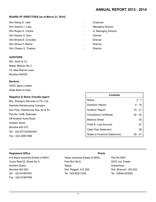### **Board of Directors (as at March 31, 2014)**

Shri Abhay A. Vakil **Chairman** 

- 
- 
- Shri Ashwin S. Dani **Director Contract Contract Contract Contract Contract Contract Contract Contract Contract Contract Contract Contract Contract Contract Contract Contract Contract Contract Contract Contract Contract C**
- Shri Bharat B. Chovatia Director
- Shri Dhiren P. Mehta Director
- Shri Chetan S. Thakkar  **Director** Director

### **Auditors**

M/s. Shah & Co. Maker Bhavan No.2 18, New Marine Lines Mumbai 400020

### **Bankers**

HDFC Bank Limited State Bank of India

### **Registrar & Share Transfer Agent**

M/s. Sharepro Services (I) Pvt. Ltd. Samhita Warehousing Complex 2nd Floor, Warehouse Nos. 52 & 53 Plot No.13AB, Sakinaka Off Andheri Kurla Road Andheri (East) Mumbai 400 072. Tel : 022-67720300/400 Fax : 022-28591568

- Shri Gobind J. Lulla  **Managing Director** Managing Director
- Shri Rupen A. Choksi **A. Choksi 2008** Jt. Managing Director
	-
	-
	-
	-

| <b>Contents</b>                      |           |
|--------------------------------------|-----------|
| Notice                               | $2 - 7$   |
| Directors' Report                    | $8 - 18$  |
| Auditors' Report                     | $19 - 21$ |
| <b>Compliance Certificate</b>        | $22 - 25$ |
| <b>Balance Sheet</b>                 | 26        |
| Profit & Loss Account                | 27        |
| <b>Cash Flow Statement</b>           | 28        |
| <b>Notes to Financial Statements</b> | - 41      |

### **Registered Office Plants** Plants **Plants**

A-8 Marol Industrial Estate of MIDC, Taloja Industrial Estate of MIDC, Plot No.3607, Cross Road B, Street No.5, The State Post Box No.6, GIDC Ind. Estate, GIDC Ind. Estate, Andheri (East), Taloja, Taloja, Taloja, Taloja, Ankleshwar, Mumbai 400 093. Dist. Raigad- 410 208. Dist. Bharuch- 393 002. Tel : 022-61987000 Tel : 022-65517200 Tel : 02646-223262 Fax : 022-61987099

**------------------------------------------------------------------------------------------------------------------------------------------------------------------**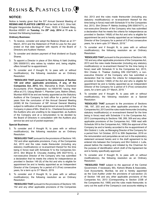### **NOTICE:**

Notice is hereby given that the 53<sup>rd</sup> Annual General Meeting of **RESINS AND PLASTICS LIMITED** will be held at M.C. Ghia Hall, Bhogilal Hargovindas Building, 4<sup>th</sup> Floor, 18/20, K Dubash Marg, Mumbai 400001 on **Tuesday**, the **29th July**, **2014** at **11 a.m**. to transact the following business –

### **Ordinary Business:**

- To receive, consider and adopt the Balance Sheet as at 31<sup>st</sup> March, 2014 and the Statement of Profit & Loss for the year ended on that date together with reports of the Board of Directors and Auditors' thereon.
- 2. To consider and declare payment of final dividend on Equity Shares.
- 3. To appoint a Director in place of Shri Abhay A Vakil (holding DIN 00009151) who retires by rotation and, being eligible, offers himself for re-appointment.
- 4. To consider and if thought fit, to pass with or without modification(s), the following resolution as an Ordinary Resolution:

**"RESOLVED THAT pursuant to the provisions of Section 139 and other applicable provisions, if any, of the Companies Act, 2013,** M/s. Manubhai & Shah, Chartered Accountants (Firm Registration no.106041W) having their office at 213, Udyog Mandir-1, Pitamber Lane, Mahim (West), Mumbai 400016 be and are hereby appointed as the Statutory Auditors of the Company to hold office for a period of five years from the conclusion of this Annual General Meeting (AGM) till the Conclusion of 58<sup>th</sup> Annual General Meeting subject to ratification of their appointment at every AGM of the Company in place of M/s. Shah & Co., Chartered Accountants, the Auditors who are unwilling to be reappointed, as Auditors of the Company and at a remuneration to be decided by the Board of Directors in consultation with the Auditors plus service tax and out of pocket expenses."

### **Special Business:**

5. To consider and if thought fit, to pass with or without modification(s), the following resolution as an Ordinary Resolution:

"**RESOLVED THAT** pursuant to the provisions of Sections 149, 152 and other applicable provisions, if any, of the Companies Act, 2013 and the rules made thereunder (including any statutory modification(s) or re-enactment thereof for the time being in force) read with Schedule IV to the Companies Act, 2013, Shri Bharat B. Chovatia (holding DIN 00271613), a non-executive Director of the Company who has submitted a declaration that he meets the criteria for independence as provided in Section 149 (6) of the Act and who is eligible for appointment be and is hereby appointed as an Independent Director of the Company for a period of 5 (Five) consecutive years, for a term up to 31<sup>st</sup> March, 2019.

6. To consider and if thought fit, to pass with or without modification(s), the following resolution as an Ordinary Resolution:

"**RESOLVED THAT** pursuant to the provisions of Sections 149, 152 and any other applicable provisions of the Companies Act, 2013 and the rules made thereunder (including any statutory modification(s) or re-enactment thereof for the time being in force) read with Schedule IV to the Companies Act, 2013, Shri Dhiren P. Mehta (holding DIN 00001471), a non-executive Director of the Company who has submitted a declaration that he meets the criteria for independence as provided in Section 149(6) of the Act and who is eligible for appointment be and is hereby appointed as an Independent Director of the Company for a period of 5 (Five) consecutive years, for a term upto 31<sup>st</sup> March, 2019."

7. To consider and if thought fit, to pass with or without modification(s), the following resolution as an Ordinary Resolution:

"**RESOLVED THAT** pursuant to the provisions of Sections 149, 152 and any other applicable provisions of the Companies Act, 2013 and the rules made thereunder (including any statutory modification(s) or re-enactment thereof for the time being in force) read with Schedule IV to the Companies Act, 2013, Shri Chetan S. Thakkar (holding DIN 03273267), a nonexecutive Director of the Company who has submitted a declaration that he meets the criteria for independence as provided in Section 149(6) of the Act and who is eligible for appointment be and is hereby appointed as an Independent Director of the Company for a period of 5 (Five) consecutive years, for a term upto 31<sup>st</sup> March, 2019. "

8. To consider and if thought fit, to pass with or without modification(s), the following resolution as a Special Resolution:

"**RESOLVED THAT** pursuant to the provisions of Sections 196, 197, 203 and any other applicable provisions of the Companies Act, 2013 and the rules made thereunder (including statutory modification(s) or re-enactment thereof for the time being in force) read with Schedule V to the Companies Act, 2013 (corresponding to Sections 198, 269, 309 and any other applicable provisions of the Companies Act, 1956 read with Schedule XIII to the Companies Act, 1956) the approval of the Company be and is hereby accorded to the re-appointment of Shri Gobind J. Lulla, as Managing Director of the Company for a period from 1st October, 2013 to 30th September, 2016 on the remuneration and perquisites as set out in the explanatory statement annexed hereto and in the draft agreement to be entered into between the Company and Shri Gobind J. Lulla, placed before the meeting and initialed by the Chairman for the purpose of identification which draft of the Agreement be and is hereby specifically approved."

9. To consider and if thought fit, to pass with or without modification(s), the following resolution as an Ordinary Resolution:

**"RESOLVED THAT** subject to the approval of the Central Government, if necessary, M/s. Kishore Bhatia & Associates, Cost Accountants, Mumbai, be and is hereby appointed as the Cost Auditor under the provisions of sub-section (3) of Section 148 and any other applicable provisions of the Companies Act, 2013 (Corresponding to Section 233B of the Companies Act, 1956) and the rules made thereunder, to carry out the audit of the Company's cost accounts relating to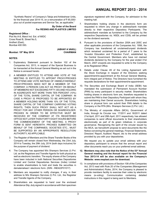"Synthetic Resins" of Company's Taloja and Ankleshwar Units, for the financial year 2014-15, on a remuneration of  $\bar{\tau}$  65,000/plus out of pocket expenses and Service Tax, as applicable."

### **By Order of the Board For RESINS AND PLASTICS LIMITED**

### **Registered Office :**

Plot No.A-8, Marol Ind. Est. of MIDC Cross Road B, Street No.5, Andheri (East), Mumbai 400 093.

### **Mumbai: 19th May 2014 CHAIRMAN**

## **(ABHAY A VAKIL)**

### **NOTES:**

- 1. Explanatory Statement pursuant to Section 102 of the Companies Act, 2013, in respect of the Special Business to be transacted at the Annual General Meeting as set out in the Notice is annexed hereto.
- 2. A MEMBER ENTITLED TO ATTEND AND VOTE AT THE MEETING IS ENTITLED TO APPOINT PROXY/PROXIES TO ATTEND AND VOTE INSTEAD OF HIMSELF/HERSELF. PROXY/PROXIES NEED NOT BE A MEMBER OF THE COMPANY. A PERSON CAN ACT AS PROXY ON BEHALF OF MEMBERS NOT EXCEEDING FIFTY (50) AND HOLDING IN AGGREGATE NOT MORE THAN TEN PERCENT (10%) OF THE TOTAL SHARE CAPITAL OF THE COMPANY. IN CASE A PROXY IS PROPOSED TO BE APPOINTED BY A MEMBER HOLDING MORE THAN 10% OF THE TOTAL SHARE CAPITAL OF THE COMPANY CARRYING VOTING RIGHTS, THEN SUCH PROXY SHALL NOT ACT AS A PROXY FOR ANY OTHER PERSON OR SHAREHOLDER. PROXIES IN ORDER TO BE EFFECTIVE MUST BE RECEIVED BY THE COMPANY AT ITS REGISTERED OFFICE NOT LATER THAN FORTY EIGHT HOURS BEFORE THE COMMENCEMENT OF THE MEETING. A PROXY FORM IS SENT HEREWITH. PROXIES SUBMITTED ON BEHALF OF THE COMPANIES, SOCIETIES ETC., MUST BE SUPPORTED BY AN APPROPRIATE RESOLUTION/ AUTHORITY, AS APPLCABLE.
- 3. The Register of Members and the Share Transfer Books of the Company will remain closed from Wednesday, the 23rd July, 2014 to Tuesday, the 29th July, 2014 (both days inclusive) for the purpose of payment of dividend.
- 4. The Company has appointed M/s Sharepro Services (I) Pvt. Ltd. as the Registrars and Transfer Agents for both physical as well as electronic transfers. The equity shares of the Company have been inducted in both National Securities Depositories Limited and Central Depositories Services (India) Limited to enable shareholders to hold and trade the securities in dematerialised / electronic form. (ISIN - INE422F01017)
- 5. Members are requested to notify changes, if any, in their address to M/s Sharepro Services (I) Pvt. Ltd., the Registrar and Transfer Agents of the Company.
- 6. Shareholders are requested to hand over the enclosed Attendance Slip, duly signed in accordance with their specimen

signature registered with the Company, for admission to the meeting hall.

- 7. Shareholders holding shares in the electronic form are requested to inform any change in address/bank mandate directly to their respective Depository Participants. The address/bank mandate as furnished to the Company by the respective Depositories viz. NSDL and CDSL will be printed on the dividend warrants.
- 8. Pursuant to the provisions of Section 205A and 205C and other applicable provisions of the Companies Act, 1956, the Company has transferred all unclaimed/unpaid dividends which remained unclaimed for a period of 7 years to the 'Investor Education and Protection Fund', established by the Central Government. Members who have not claimed dividends declared by the Company for the year ended 31st March, 2007 onwards are requested to write to the Company at its Registered Office.
- 9. Details under Clause 49 of the Listing Agreement with the Stock Exchange in respect of the Directors seeking appointment/re-appointment at the Annual General Meeting, form integral part of Notice. The Directors have furnished the requisite declarations for their appointment/re-appointment.
- 10. The Securities and Exchange Board of India (SEBI) has mandated the submission of Permanent Account Number (PAN) by every participant in security market. Shareholders holding shares in electronic form are, therefore requested to submit the PAN to their Depository Participant with whom they are maintaining their Demat accounts. Shareholders holding share in physical form can submit their PAN details to the Company or the RTA (M/s. Sharepro Services (I) Pvt. Ltd.)
- 11. The Ministry of corporate Affairs (MCA), Government of India, through its Circular nos. 17/2011 and 18/2011 dated 21st April, 2011 and 29th April, 2011 respectively, has allowed companies to send official documents to their shareholders electronically as part of its green initiatives in corporate governance. Recognizing the spirit of the circular issued by the MCA, we henceforth propose to send documents like the Notice convening the general meetings, Financial Statements, Directors' Report, Auditors' Report, etc to the email address provided by you with your depositories.

We request you to update your email address with your depository participant to ensure that the annual report and other documents reach you on your preferred email address.

- **12. Members may also note that the Notice of the 53rd Annual General meeting and the Annual report for the Financial Year 2013-14 will be also available on the Company's Website: www.resplast.com for download.**
- 13. In compliance with provisions of Section 108 of the Companies Act, 2013 read with Rule 20 of the Companies (Management and Administration) Rules, 2014, the Company is pleased to provide members facility to exercise their votes by electronic means (e-voting). Communication containing detailed instructions in this regard is being sent to Members.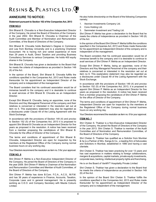### **ANNEXURE TO NOTICE:**

### **Statement pursuant to Section 102 of the Companies Act, 2013**

### **ITEM NO.5**

Shri Bharat B. Chovatia is a Non-Executive Independent Director of the Company. He joined the Board of Directors of the Company in the year 2002. Shri Bharat B. Chovatia is Chairman of the Audit Committee and Member of Nomination and Remuneration Committee, of the Board of Directors of the Company.

Shri Bharat B. Chovatia holds Bachelor's Degree in Commerce and Law from Bombay University and is a practicing Chartered Accountant. He is having rich and varied experience of more than 29 years in Audit, Direct Taxation and providing Business Consultancy Services to various Companies. He holds 400 equity shares in the Company.

Shri Bharat B. Chovatia has given a declaration to the Board that he meets the criteria of independence as provided in Section 149 (6) of the Act.

In the opinion of the Board, Shri Bharat B. Chovatia fulfills the conditions specified in the Companies Act, 2013 and Rules made thereunder for his appointment as Independent Director of the company and is independent of the management.

The Board considers that his continued association would be of immense benefit to the company and it is desirable to continue to avail services of Shri Bharat B. Chovatia as an Independent Director.

Except Shri Bharat B. Chovatia, being an appointee, none of the Directors and Key Managerial Personnel of the company and their relatives is concerned or interested in the resolution set out at item no 5. This explanatory statement may also be regarded as a disclosures under Clause 49 of the Listing Agreement with the Stock Exchange.

In accordance with the provisions of Section 149 (4) and proviso to Section 152 (5) of the Companies Act, 2013 it is proposed to appoint Shri Bharat B Chovatia as an Independent Director for five years as proposed in the resolution. A notice has been received from a member proposing the candidature of Shri Bharat B. Chovatia for the office of Director of the Company.

The terms and conditions of appointment of Shri Bharat B. Chovatia, Independent Director are open for inspection by the members at the Registered Office of the Company during normal business hours on any working day.

Your Directors recommend the resolution as item no. 5 for your approval.

### **ITEM NO. 6**

Shri Dhiren P. Mehta is a Non-Executive Independent Director of the Company. He joined the Board of Directors of the Company in the year 2009. Shri Dhiren P. Mehta is Chairman of the Nomination and Remuneration Committee and Member of Audit Committee, of the Board of Directors of the Company.

Shri Dhiren P. Mehta has done B.Com. F.C.A., A.C.S., M.F.M. and has 38 years of experience in Finance, Accounts, Taxation, Corporate Laws and in general management. He is presently working as C.E.O. and Company Secretary with Mazda Colours Limited.

He also holds directorship on the Board of the following Companies namely;

- 1. Aeonian Investments Company Ltd.
- 2. Cons Holding Ltd.
- 3. Sammelan Investment and Trading Ltd.

Shri Dhiren P. Mehta has given a declaration to the Board that he meets the criteria of independence as provided in Section 149 (6) of the Act.

In the opinion of the Board Shri Dhiren P. Mehta fulfills the conditions specified in the Companies Act, 2013 and Rules made thereunder for his appointment as Independent Director of the company and is independent of the management.

The Board considers that his continued association would be of immense benefit to the company and it is desirable to continue to avail services of Shri Dhiren P. Mehta as an Independent Director.

Except Shri Dhiren P. Mehta, being an appointee, none of the Directors and Key Managerial Personnel of the company and their relatives is concerned or interested in the resolution set out at item no 6. This explanatory statement may also be regarded as a disclosures under Clause 49 of the Listing Agreement with the Stock Exchange.

In accordance with the provisions of Section 149 (4) and proviso to Section 152 (5) of the Companies Act, 2013, it is proposed to appoint Shri Dhiren P. Mehta as an Independent Director for five years as proposed in the resolution. A notice has been received from a member proposing the candidature of Shri Dhiren P. Mehta for the office of Director of the Company.

The terms and conditions of appointment of Shri Dhiren P. Mehta, independent Director are open for inspection by the members at the Registered Office of the Company during normal business hours on any working day.

Your Directors recommend the resolution as item no. 6 for your approval.

### **ITEM NO. 7**

Shri Chetan S. Thakkar is a Non-Executive Independent Director of the Company. He joined the Board of Directors of the Company in the year 2013. Shri Chetan S. Thakkar is member of the Audit Committee and of Nomination and Remuneration Committee, of the Board of Directors of the Company.

Shri Chetan S. Thakkar has qualified as a Solicitor from Mumbai & he is a Partner of M/s. Kanga & Co., a leading firm of Advocates and Solicitors in Mumbai, established in 1890 and having a vast clientele.

Shri Chetan S. Thakkar has been practicing for over 13 years and has vast experience in matters relating to foreign collaborations, mergers & acquisitions, capital markets, private equity investments, corporate laws, banking, intellectual property rights and franchising.

He is on the Board of VanMYT Hospitality Private Limited

Shri Chetan S. Thakkar has given a declaration to the Board that he meets the criteria of independence as provided in Section 149 (6) of the Act.

In the opinion of the Board Shri Chetan S. Thakkar fulfills the conditions specified in the Companies Act, 2013 and Rules made thereunder for his appointment as Independent Director of the company and is independent of the management.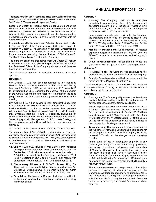The Board considers that his continued association would be of immense benefit to the company and it is desirable to continue to avail services of Shri Chetan S. Thakkar as an Independent Director.

Except Shri Chetan S. Thakkar, being an appointee, none of the Directors and Key Managerial Personnel of the company and their relatives is concerned or interested in the resolution set out at item no 7. This explanatory statement may also be regarded as a disclosures under Clause 49 of the Listing Agreement with the Stock Exchange.

In accordance with the provisions of Section 149 (4) and proviso to Section 152 (5) of the Companies Act, 2013 it is proposed to appoint Shri Chetan S. Thakkar as an Independent Director for five years as proposed in the resolution. A notice has been received from a member proposing the candidature of Shri Chetan S. Thakkar for the office of Director of the Company.

The terms and conditions of appointment of Shri Chetan S. Thakkar, Independent Director are open for inspection by the members at the Registered Office of the Company during normal business hours on any working day.

Your Directors recommend the resolution as item no. 7 for your approval.

### **ITEM NO. 8**

Shri Gobind J. Lulla has been reappointed as the Managing Director of the Company by the Board of Directors at their Meeting held on 4th September, 2013, for the period from 1<sup>st</sup> October, 2013 to 30<sup>th</sup> September, 2016, subject to the approval of the members at the Annual General Meeting upon the remuneration including perquisites set out herein and in the agreement submitted to this meeting.

Shri Gobind J. Lulla has passed B.Tech (Chemical Engg.) from I.I.T. Mumbai & PGDBM from IIM Ahmedabad. Prior to joining Resins & Plastics Ltd., he has worked at senior level positions with reputed Organisations viz; Asian Paints Ltd., VIP Industries Ltd., Syngenta India Ltd. & EMRI, Hyderabad. During his 37 years of work experience, he has handled several functions viz; Sales, Supply Chain Management, I.T. & Corporate Strategy and his re-appointment on the Board will be in the best interest of the Company.

Shri Gobind J. Lulla does not hold directorship of any companies.

The remuneration of Shri Gobind J. Lulla which is as per the provisions of Schedule V of the Companies Act, 2013 (corresponding to Schedule XIII of the Companies Act, 1956), has been approved by the Remuneration Committee. The material provisions of the same are as under:

- **1.a. Salary**: ` 3,40,000/- (Rupees Three Lakhs Forty Thousand Only) per month with effect from 1st October, 2013 to 30<sup>th</sup> September, 2014, with an annual increment in salary of ` 55,000/- per month with effect from 1st October, 2014 to 30<sup>th</sup> September, 2015 and  $\bar{\tau}$  15,000/- per month with effect from 1<sup>st</sup> October, 2015 to 30<sup>th</sup> September 2016.
- **1.b. Discretionary Allowance: ₹ 36,500/- (Rupees Thirty Six** Thousand Five Hundred Only) per month with effect from 1st October, 2013 with an annual increment of  $\bar{\tau}$  2,000/- per month with effect from 1st October, 2014 and 1<sup>st</sup> October, 2015.
- **1.c. Perquisites:** The Managing Director shall also be entitled to all the perquisites listed herein below in addition to the salary mentioned above:

### **Category A**

i. **Housing**: The Company shall provide rent free unfurnished accommodation, the rent for the same not exceeding  $\overline{\zeta}$  85,000/- p.m. for the period 1<sup>st</sup> October, 2013 to 30<sup>th</sup> September, 2014, ₹ 100,000/- p.m. for the period 1st October, 2014 till 30<sup>th</sup> September 2016.

In case no accommodation is provided by the Company, the Managing Director shall be entitled to House Rent Allowance of  $\bar{\tau}$  85,000/- p.m. for the period 1<sup>st</sup> October, 2013 to 30<sup>th</sup> September, 2014, ₹ 100,000/- p.m. for the period 1<sup>st</sup> October, 2014 till 30<sup>th</sup> September, 2016.

- ii. **Medical Reimbursement**: Reimbursement of medical expenses subject to a maximum of  $\bar{\tau}$  15,000/- (Rupees Fifteen Thousand Only) per annum, as per the Company's Scheme.
- iii. **Leave Travel Concession**: For self and family once in a year subject to a ceiling of one month's salary per annum.

### **Category B**

- i. P**rovident Fund**: The Company will contribute to the provident fund as per the scheme framed by the Company.
- ii. **Gratuity**: Gratuity payable shall be in accordance with the provisions of the Payment of Gratuity Act.

The aforesaid perquisites in Category B will not be included in the computation of ceiling on perquisites to the extent of exemption under the Income Tax Act.

### **Category C**

i. **Conveyance**: The Company will provide a chauffeur driven car for official use and he is entitled to reimbursement of petrol expenses, as per the Company's Rules.

The Company will also reimburse driver's salary of ₹ 14,500/- (Rupees Fourteen Thousand Five Hundred Only) per month with effect from 1<sup>st</sup> October, 2013 with an annual increment of  $\bar{\tau}$  1,500/- per month with effect from 1<sup>st</sup> October, 2014 and 1<sup>st</sup> October, 2015, for official use as per the rules of the Company and shall not be included in the computation of ceiling on remuneration.

ii. **Telephone bills**: The Company will provide telephone at the residence of Managing Director and mobile phone for official purpose as per the rules of the Company. However, personal STD calls will be charged to the Managing Director.

In the event of loss or inadequacy of profits in any financial year during the tenure of the Managing Director, the salary, discretionary allowance and perquisites of Managing Director shall be within the ceiling limits laid down in Section II of Part II of Schedule V to the Companies Act, 2013 (corresponding to Para I of Section II of Schedule XIII to the Companies Act, 1956) and or as approved by the Central Government and shall be paid as minimum remuneration.

The above remuneration and perquisites shall be subject to such limits as are laid down in Schedule V to the Companies Act 2013 (corresponding to Schedule XIII to the Companies Act, 1956) and / or changes / variation / substitution made / that may be made therein from time to time as approved by the Central Government where required.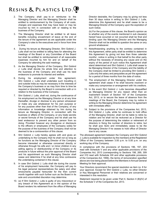- 2. The Company shall pay to or reimburse to the Managing Director and the Managing Director shall be entitled to reimbursement by the Company of all costs, charges and expenses that may have been or may be incurred by him in connection with or relating to the business of the Company.
- 3. The Managing Director shall be entitled to all leave benefits including encashment of leave at the end of the tenure of the agreement as are applicable under the Company's rules to the executives and in force from time to time.
- 4. During his tenure as Managing Director, Shri Gobind J. Lulla shall not be entitled to sitting fees for attending the meetings of the Board or any Committee of the Board but shall be entitled to reimbursement of all reasonable expenses incurred by him for and on behalf of the Company for attending the said meetings.
- 5. As the Managing Director of the Company, Shri Gobind J. Lulla shall devote his whole time and attention to the business of the Company and shall use his best endeavors to promote its interest and welfare.
- 6. During his employment under this agreement, Shri Gobind J. Lulla shall undertake such travelling in and outside India as may be necessary in the interests of the Company's business or as may from time to time be required or directed by the Board in connection with or in relation to the business of the Company.
- 7. Shri Gobind J. Lulla, shall not, during the continuance of his employment as the Managing Director or at any time thereafter, divulge or disclose to any person whosoever or make any use whatsoever for his own purpose or for any purpose other than that of the Company, of any information or knowledge obtained by him during his tenure as Managing Director, in connection with the business or affairs of the Company, or any trade secrets or secret formula of the Company and he shall use his best endeavour to prevent any other person from so doing. Provided however any divulgence or disclosure to the officers or employees of the Company solely for the purpose of the business of the Company shall not be deemed to be a contravention of this clause.
- 8. Shri Gobind J. Lulla hereby agrees with and gives an undertaking to the Company that he shall not so long as he functions as the Managing Director of the Company become interested or otherwise concerned directly or otherwise through his wife and / or minor children in any selling agency or distributorship of the Company or its products in future without the prior approval of the Board and his appointment as such Managing Director shall cease and determine if he shall at any time contravene the undertaking contained in this clause.
- 9. In case Shri Gobind J. Lulla shall die during the course of his employment hereunder, the Company will pay to his legal personal representatives the salary and other emoluments payable hereunder for the then current month together with such further sum as the Board in its sole and uncontrolled discretion may determine.
- 10. (a) If Shri Gobind J. Lulla is guilty of any misconduct or any breach of this Agreement as in the opinion of the Board renders his retirement from the office of Managing

Director desirable, the Company may by giving not less than 30 days notice in writing to Shri Gobind J. Lulla, determine this Agreement and he shall cease to be a Managing Director of the Company upon the expiration of such notice.

(b) For the purpose of this clause, the Board's opinion as to whether any of the events mentioned in sub clause(a) hereof have occurred or not occurred shall be final and binding upon the Managing Director and the Managing Director shall not be entitled to question the same on any ground whatsoever.

- 11. Notwithstanding anything to the contrary contained in this Agreement, either party shall be entitled to determine this Agreement by giving not less than three calendar months', notice in writing in that behalf to the other party without the necessity of showing any cause and on the expiry of the period of such notice this Agreement shall stand determined and Shri Gobind J. Lulla shall cease to be Managing Director of the Company and the liability of the Company shall be limited to providing Shri Gobind J. Lulla only the salary and perquisites as per the agreement for a period of three months from the date of notice.
- 12. The employment of the Managing Director under this agreement shall cease if he shall become insolvent or make any compromise or arrangement with his creditors.
- 13. In the event Shri Gobind J. Lulla becomes disqualified as Managing Director for any reason other than an inadvertent breach of Section 167 of the Companies Act, 2013, or to secure the leave of absence from the meetings of the Board, the Company may by notice in writing to the Managing Director determine his agreement with immediate effect.
- 14. Subject to the provisions of the Companies Act, 2013, Shri Gobind J. Lulla, while he continues to hold office of the Managing Director, shall not be liable to retire by rotation and he shall not be reckoned as a Director for the purpose of determining the rotation or retirement of directors in fixing the number of directors to retire, but he shall *ipso facto* and immediately cease to be the Managing Director if he ceases to hold office of Director due to any cause.

The aforesaid agreement between the Company and Shri Gobind J. Lulla is available for inspection by the members at the Registered Office of the Company between 3.00 p.m. to 5.00 p.m. on any working day of the Company.

In compliance with the provisions of Sections 196, 197, 203 read with Schedule V and any other applicable provisions of the Companies Act, 2013 (corresponding to Sections 198, 269, 309 and 310 read with Schedule XIII and other applicable provisions of the Companies Act, 1956), the terms of remuneration specified above are now being placed before the Members in Annual General Meeting for their approval.

Your Directors recommend the special resolution as item no. 8 for your approval. Except for Shri Gobind J. Lulla, no other Director or Key Managerial Personnel or their relatives are concerned or interested in this resolution.

Statement required to be given under Part II, Section II (B)(IV) of the Schedule V of the Companies Act, 2013.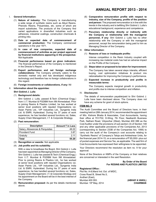### I. **General Information:**

- (1) **Nature of industry:** The Company is manufacturing a wide range of synthetic resins such as Alkyd Resins, Phenolic Resins, Polyamides, etc. some of which are import substitutes. The products of the Company find varied applications in diversified industries such as adhesives, industrial coatings, construction chemicals & printing inks.
- (2) **Date or expected date of commencement of commercial production:** The Company commenced operations in the year 1971.
- (3) **In case of new companies, expected date of commencement of activities as per project approved by financial institutions appearing in the prospectus:** Not Applicable
- (4) **Financial performance based on given indicators:** The financial performance of the Company is mentioned in the Director's Report.
- (5) **Export performance and net foreign exchange collaborations:** The Company primarily caters to the domestic market only and has developed indigenous technology and therefore has no foreign collaborations in this regard.
- (6) **Foreign investments or collaborations, if any:** Nil
- Information about the appointee:

### **Shri Gobind J. Lulla**

### (1) **Background details:**

Shri Gobind J. Lulla, passed B.Tech (Chemical Engg.) from I.I.T. Mumbai & PGDBM from IIM Ahmedabad. Prior to joining Resins & Plastics Limited, he has worked at senior level positions with reputed Organisations viz: Asian Paints Ltd., VIP Industries Ltd., Syngenta India Ltd. & EMRI, Hyderabad. During his 37 years of work experience, he has handled several functions viz; Sales, Supply Chain Management, I.T. & Corporate Strategy.

### (2) **Past remuneration:**

| <b>Description</b>               | Amount $\bar{z}$ in Lacs |
|----------------------------------|--------------------------|
| Salary, Allowances & Perquisites | 49.22                    |
| Provident Fund                   | 3.87                     |
| Gratuity                         | 2 11                     |
| <b>Total</b>                     | 55.20                    |

- (3) **Recognition or awards:** Not applicable
- (4) **Job profile and his suitability:**

With a view to broadbase the Board, Shri Gobind J. Lulla has been appointed as Managing Director of the Company. Shri Gobind J. Lulla has passed B.Tech (Chemical Engg.) from I.I.T. Mumbai & PGDBM from IIM Ahmedabad. Prior to joining Resins & Plastics Ltd., he has worked at senior level positions with reputed Organisations viz; Asian Paints Ltd., VIP Industries Ltd., Syngenta India Ltd. & EMRI, Hyderabad. During his 37 years of work experience, he has handled several functions viz; Sales, Supply Chain Management, I.T. & Corporate Strategy and his appointment on the Board will be in the best interest of the Company.

(5) **Remuneration proposed:** As per the details mentioned above.

### **Annual Report 2013 - 2014**

- (6) **Comparative remuneration profile with respect to industry, size of the Company, profile of the position and person:** The proposed remuneration is in line with the trends in the industry and is befitting Shri Gobind J. Lulla's educational background, experience and competence.
- (7) **Pecuniary relationship directly or indirectly with the Company or relationship with the managerial personnel, if any:** Shri Gobind J. Lulla has no other relationship with the Company or with the managerial personnel, except the remuneration being paid to him as Managing Director of the Company.

### III. **Other information:**

### (1) **Reasons of loss or inadequate profits:**

Intense competition in the Resin Industry coupled with increasing raw material costs has had an adverse impact on the Profits of the Company.

(2) **Steps taken or proposed to be taken for improvement:**

The Company has taken several steps interalia, efficient buying, cost optimization initiatives & product mix rationalisation for improving the Company's performance.

(3) **Expected increase in productivity and profits in measurable terms:**

The Company expects marginal growth in productivity and profits due to intense competition and inflation.

### IV. **Disclosures:**

The details of remuneration payable/paid to Shri Gobind J. Lulla have been disclosed above. The Company does not have any scheme for grant of stock options.

### **ITEM NO. 9**

The Audit Committee and the Board of Directors have, in their meeting held on 28th January 2014, recommended the appointment of M/s. Kishore Bhatia & Associates, Cost Accountants, having their office at 701/702, D-Wing, 7th Floor, Neelkanth Business Park, Nathani Road, Vidyavihar (West), Mumbai 400 086 as the Cost Auditor under the provisions of sub-section (3) of Section 148 and any other applicable provisions of the Companies Act, 2013 (corresponding to Section 233B of the Companies Act, 1956) to carry out the audit of the Company's cost accounts relating to "Synthetic Resins" of Company's Taloja and Ankleshwar Units, for the financial year 2014-15, on a remuneration of  $\bar{\tau}$  65,000/- plus out of pocket expenses and Service Tax, as applicable. The said firm of Cost Accountants has expressed their willingness to be appointed.

Your Directors recommend the resolution as item no. 9 for your approval.

None of the Directors or KMPs of the Company or their relatives are concerned or interested in the said Resolution.

> **By Order of the Board For RESINS AND PLASTICS LIMITED**

### **Registered Office :**

Plot No. A-8,Marol Ind. Est. of MIDC, Cross Road B, Street No.5, Andheri (East), Mumbai 400 093. **(ABHAY A VAKIL)** Mumbai: 19<sup>th</sup> May, 2014 **CHAIRMAN**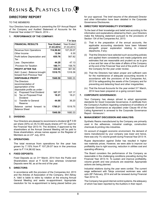### **DIRECTORS' REPORT**

### TO THE MEMBERS

Your Directors have pleasure in presenting the 53<sup>rd</sup> Annual Report of the Company and Audited Statement of Accounts for the Financial Year ended 31st March, 2014 –

` **in lacs**

### **1**. **PERFORMANCE OF THE COMPANY:**

|                                                                                             |                   | ≺ in iacs  |
|---------------------------------------------------------------------------------------------|-------------------|------------|
| <b>FINANCIAL RESULTS</b>                                                                    | <b>Year Ended</b> | Year Ended |
|                                                                                             | 31.03.2014        | 31.03.2013 |
| Revenue from Operations                                                                     | 114,96.62         | 107,29.07  |
| Other Income                                                                                | 12.64             | 6.30       |
| Profit before Depreciation and<br>Tax                                                       | 655.76            | 567.82     |
| Less: Depreciation                                                                          | 44.20             | 47.13      |
| Provision for Taxation                                                                      | 180.71            | 158.75     |
| <b>PROFIT AFTER TAX</b>                                                                     | 430.84            | 361.94     |
| Add / (Less) : Balance brought                                                              | 1518.75           | 1318.39    |
| forward from Previous Year                                                                  |                   |            |
| <b>DISPOSABLE PROFIT</b>                                                                    | 1949.59           | 1680.33    |
| The Directors<br>recommendation of<br>appropriation of the<br>disposable profits as under : |                   |            |
| Proposed Final Dividend<br>a)                                                               | 107.17            | 107.17     |
| Tax on Proposed Final<br>b)<br>Dividend                                                     | 18.21             | 18.21      |
| <b>Transfer to General</b><br>c)<br>Reserve                                                 | 44.00             | 36.20      |
| Balance carried forward<br>to<br><b>Balance Sheet</b>                                       | 1780.21           | 1518.75    |
|                                                                                             | 1949.59           | 1680.33    |

### **2. DIVIDEND:**

Your Directors are pleased to recommend a dividend  $@ \bar{\tau} 3.00$ per share (30%) on 35,72,300 equity shares of  $\bar{\tau}$  10/- each for the Financial Year 2013-14. The dividend, if approved by the shareholders at the Annual General Meeting will be paid to those shareholders, whose names appear on the Register of Members as on 23rd July, 2014.

### **3. OPERATIONS:**

The total revenue from operations for the year has grown by 7.15% from  $\bar{\tau}$  107,29.07 lacs in the previous year to  $\bar{x}$  114,96.62 lacs.

### **4**. **FIXED DEPOSITS:**

Fixed Deposits as on 31<sup>st</sup> March, 2014 from the Public and Shareholders stood at  $\bar{\tau}$  52.65 lacs whereas Unclaimed Deposits were Nil, as at the end of the year.

### **5**. **DIRECTORS:**

In accordance with the provision of the Companies Act, 2013 and the Articles of Association of the Company, Shri Abhay A. Vakil is liable to retire by rotation at the ensuing Annual General Meeting and seeks re-appointment. Appropriate resolution for his re-appointment is being placed before you for your approval. The brief resume of the aforesaid Director and other information have been detailed in the Corporate Governance Disclosures.

### **6. DIRECTORS' RESPONSIBILITY STATEMENT:**

To the best of their knowledge and belief and according to the information and explanations obtained by them, your Directors make the following statement pursuant to the provisions of Section 134 of the Companies Act, 2013:

- (i) That in the preparation of the annual accounts, the applicable accounting standards have been followed alongwith proper explanation relating to material departures, if any;
- (ii) That the Directors have selected such accounting policies and applied them consistently and made judgments and estimates that are reasonable and prudent so as to give a true and fair view of the state of affairs of the Company at the end of the Financial Year and of the profit or loss of the Company for the year under review;
- (iii) That the Directors had taken proper and sufficient care for the maintenance of adequate accounting records in accordance with the provisions of the Companies Act, 2013 for safeguarding the assets of the Company and for preventing and detecting fraud and other irregularities;
- (iv) That the Annual Accounts for the year ended 31st March, 2014 have been prepared on a going concern basis.

### **7. CORPORATE GOVERNANCE:**

Your Company has always strived to adopt appropriate standards for Good Corporate Governance. A certificate from the Company's Auditors regarding compliance of conditions of Corporate Governance as stipulated under Clause 49 of the Listing Agreement is annexed to the Corporate Governance Report - Annexure I.

### **8. MANAGEMENT DISCUSSION AND ANALYSIS:**

Synthetic Resins manufactured by the Company are primarily used in the adhesives, industrial coatings, construction chemicals & printing inks industries.

On account of sluggish economic environment, the demand of resins manufactured by your company was lower and hence, there was only 1% volume growth during Financial Year 2013-14.

Rupee depreciation against Dollar has resulted in higher raw materials prices. However, we were able to improve our profitability due to right sourcing, reduction in utilities cost and operating efficiency.

The Board considers the performance of the Company as reasonable in the challenging conditions prevailing during the Financial Year 2013-14. To sustain and improve profitability, volume growth and new products are essential. Appropriate actions are being planned.

Industrial relations during the year were cordial. The current wage settlement with Taloja unionized workmen was valid upto 28<sup>th</sup> February, 2014 and will be renewed during Financial Year 2014-15.

The Company has good internal control systems, the adequacy of which has been reported by the Auditors in their report.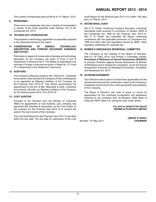The number of employees stood at 89 as on 31<sup>st</sup> March, 2014.

### **9. PERSONNEL:**

There were no employees who are in receipt of remuneration in excess of the limits specified under Section 134 of the Companies Act, 2013.

### **10. TECHNOLOGY UPGRADATION:**

The progress on technology upgradation is separately reported in the prescribed format to this report.

### **11. CONSERVATION OF ENERGY, TECHNOLOGY ABSORPTION AND FOREIGN EXCHANGE EARNINGS AND OUTGO:**

Particulars in respect of conservation of energy and technology absorption by the Company are given in Form A and B respectively in Annexure No II. The details of expenditure and earnings in foreign currencies are given in Notes No. 27.4 and 27.9 respectively to the Statement of Accounts.

### **12. AUDITORS:**

The Company's Statutory Auditors, M/s. Shah & Co., Chartered Accountants, have advised the Company of their unwillingness to be appointed as Statutory Auditors of the Company for the Financial Year 2014-15. Your Board recommends the appointment of the firm of M/s. Manubhai & Shah, Chartered Accountants, Mumbai, as Statutory Auditors of the Company for the financial years 2014-15 to 2018-19.

### **13. COST AUDITOR:**

Pursuant to the direction from the Ministry of Corporate Affairs for appointment of Cost Auditors, your company has appointed M/s Deodhar & Associates, as the Cost Auditor of the company for the Financial Year 2013-14 to conduct the audit of the cost records of the Company.

The Cost Audit Report for the Financial Year 2012-13 was filed within the due date. The due date for submission of the Cost Audit Report for the financial year 2013-14 is within 180 days from 31st March, 2014.

### **14. SECRETARIAL AUDIT:**

Shri P. N. Parikh, Practicing Company Secretary, conducted Secretarial Audit pursuant to provisions of Section 383A of the Companies Act, 1956 for the Financial Year, 2013-14. Shri P. N. Parikh has submitted the Report confirming compliance with the applicable provisions of Companies Act, 1956 and other rules and regulations issued by SEBI / other regulatory authorities for corporate law.

### **15. WOMEN'S GRIEVANCES REDRESSAL COMMITTEE**

The Company, at the meeting of the Board of Directors, held on 19<sup>th</sup> May, 2014, has formed a Committee named, **Prevention & Redressal of Sexual Harassment (PRoSHC)** to provide Protection against Sexual Harassment of Women at Workplace and to redress the complaints, as per the Sexual Harassment of Women at Workplace (Prevention, Prohibition and Redressal) Act, 2013.

### **16. ACKNOWLEDGEMENT:**

Your Directors wish to place on record their appreciation for the devoted services and the contribution made by the Company's employees at all levels for the continued growth and prosperity of the Company.

The Board of Directors also wish to place on record its appreciation for the continued co-operation and assistance received by the Company from its Bankers, State Bank of India and HDFC Bank Ltd. during the year under review.

> **For and on behalf of the Board RESINS & PLASTICS LIMITED**

**Mumbai: 19th May 2014** 

 **(ABHAY A VAKIL)**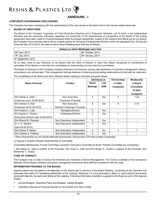### **ANNEXURE - I**

### **CORPORATE GOVERNANCE DISCLOSURES**

The Company has been complying with the requirements of the said clause to the extent and in the manner stated hereunder:

### 1. **BOARD OF DIRECTORS:**

The Board of the Company comprises of 5 Non-Executive Directors and 2 Executive Directors, out of which 3 are Independent Directors and the necessary intimation regarding non-conformity of the requirements of composition of the Board of the Listing agreement have been made to Pune/Ahmedabad Stock Exchange respectively. Inspite of the initiative and efforts put by our Board; the Company have not been able to find a suitable person for the post of Independent Director within the stipulated time. During the Financial Year 2013-2014, the date on which Board Meeting were held are as follows:

| Date(s) on which Meeting(s) were held |                                  |  |
|---------------------------------------|----------------------------------|--|
| 26th April, 2013                      | l 24 <sup>th</sup> October. 2013 |  |
| 18th July, 2013                       | 28 <sup>th</sup> January, 2014   |  |
| $ 4th$ September, 2013                |                                  |  |

As on date, none of your Directors on the Board hold the office of Director in more than fifteen companies or membership of committee of the Board in more than ten committees or chairmanship of more than five committees.

The Board of Directors of the Company consists of persons of eminence, having vast experience in business management, finance, accountancy and various laws. The management strongly believes in fostering a long lasting relationship and trust with its customers.

The Constitution of the Board and other relevant details relating to Directors are given below:

|                                      |                              | Attendance at   |                | <b>Directorships</b> | <b>Membership</b> |
|--------------------------------------|------------------------------|-----------------|----------------|----------------------|-------------------|
| Name of Director                     | <b>Position</b>              | <b>Board</b>    | Last           | In Other             | In Board          |
|                                      |                              | <b>Meetings</b> | <b>AGM</b>     | <b>Companies</b>     | <b>Committees</b> |
|                                      |                              |                 |                |                      | Of other          |
|                                      |                              |                 |                |                      | <b>Companies</b>  |
| Shri Abhay A. Vakil ~                | Non-Executive                | 4               | Yes            | 2                    | 1(2)              |
| (Chairman w.e.f. 04.09.2013)         | Chairman/ Promoter           |                 |                |                      |                   |
| Shri Ashwin S. Dani                  | Non-Executive                | 5               | Yes            | 6                    | 3(1)              |
| (Chairman till 03.09.2013)           | Director/ Chairman/ Promoter |                 |                |                      |                   |
| Shri Gobind J. Lulla                 | <b>Managing Director</b>     | 5               | <b>Yes</b>     |                      |                   |
| Shri Rupen A. Choksi ~               | Jt Manging Director          | 5               | Yes            |                      |                   |
| (Executive Director upto 20.06.2013) |                              |                 |                |                      |                   |
| Shri Bharat B. Chovatia              | Non-Executive/ Independent   | 5               | Yes            |                      |                   |
| Dr. V. C. Malshe                     | Non-Executive/ Independent   | 3               | Yes            |                      |                   |
| (upto 04.09.2013)                    |                              |                 |                |                      |                   |
| Shri Dhiren P. Mehta                 | Non-Executive/ Independent   | 4               | N <sub>0</sub> | 3                    |                   |
| Shri Chetan S. Thakkar               | Non-Executive/ Independent   | 5               | Yes            |                      |                   |

**\*** Other Directorship do not include Alternate Directorship, Directorship of Private Limited Companies.

**( )** Figures in bracket indicate Chairmanship of Committee.

(Committee Membership of Audit Committee, Investors' Grievance Committee & Share Transfer Committee are considered.)

**~** Shri Abhay A. Vakil is brother of the Promoter, Shri Amar A. Vakil and Shri Rupen A. Choksi is relative of the Promoter, Shri Mahendra C. Choksi.

### **CODE OF CONDUCT:**

The Company has a Code of Conduct for Directors and members of Senior Management. The Code is available on the Company's Website. All the Board members and senior management personnel have affirmed compliance with the code.

### **INFORMATION PROVIDED TO THE BOARD:**

Agenda papers are circulated to the Members of the Board well in advance of the Board Meeting, containing all the important and adequate information for facilitating deliberation at the meeting. Wherever it is not practicable to attach or send relevant documents along with Agenda, the same are tabled at the meeting. Following information interlaid is supplied to the Board as part of the Agenda Papers:

- **•** Annual Budgets, Operating Plans and Budgets, Capital Budgets.
- **•** Operations Review & Financial Results for the Quarter and Year to Date.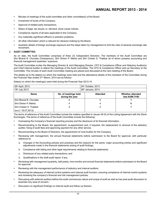- **•** Minutes of meetings of the audit committee and other committee(s) of the Board.
- **•** Investment of funds of the Company.
- **•** Approval of related party transactions.
- **•** Status of legal, tax issues i.e. demand, show cause notices.
- **•** Compliance reports of all laws applicable to the Company.
- **•** Any materially significant effluent or pollution problems.
- **•** All other information which is relevant for decision-making by the Board.
- **•** Quarterly details of foreign exchange exposure and the steps taken by management to limit the risks of adverse exchange rate movement.

### 2. **AUDIT COMMITTEE:**

As on date, the Audit Committee comprises of three (3) Independent Directors. The members of the Audit Committee are Shri Bharat B. Chovatia (Chairperson), Shri Dhiren P. Mehta and Shri Chetan S. Thakkar all of whom possess accounting and financial management expertise / exposure.

The Audit Committee invites the Managing Director & Joint Managing Director, CFO & Compliance Officer and Statutory Auditor(s) and Chief Internal Auditor to attend the meetings of the Audit Committee. The CFO & Compliance Officer acts as Secretary to the Committee. The minutes of each Audit Committee meeting are placed and discussed at the next meeting of the Board.

The details as to the date(s) on which the meetings were held and the attendance details of the members of the Committee during the Financial Year ended 31<sup>st</sup> March, 2014 are as follows:

Date(s) on which the meeting(s) were held during the Financial Year 2013-14:

| 26th April, 2013           |                                         | 24 <sup>th</sup> October, 2013 |                                           |  |
|----------------------------|-----------------------------------------|--------------------------------|-------------------------------------------|--|
| 18 <sup>th</sup> July 2013 |                                         | 28 <sup>th</sup> January, 2014 |                                           |  |
| <b>Name</b>                | No. of meetings held<br>during the year | <b>Attended</b>                | <b>Whether attended</b><br>last AGM (Y/N) |  |
| Shri Bharat B. Chovatia    |                                         | 4                              |                                           |  |
| l Shri Dhiren P. Mehta     |                                         | 4                              | N                                         |  |
| Shri Chetan S. Thakkar     |                                         |                                |                                           |  |
| (w.e.f. 18.07.2013)        |                                         |                                |                                           |  |

The terms of reference of the Audit Committee include the matters specified in clause 49 (II) of the Listing Agreement with the Stock Exchanges. The terms of reference of the Audit Committee include the following:

- **•** Overseeing the Company's financial reporting process and the disclosure of its financial information.
- **•** Recommending to the Board, the appointment, re-appointment and, if required, the replacement or removal of the statutory auditor, fixing of audit fees and approving payment for any other service.
- **•** Recommending to the Board of Directors, the appointment of Cost Auditor for the Company.
- **•** Reviewing with management, the annual financial statements before submission to the Board for approval, with particular reference to:
	- a. Changes in the Accounting policies and practices and the reasons for the same, major accounting entries and significant adjustments made in the financial statements arising of audit findings;
	- b. Compliance with listing and other legal requirements relating to financial statements;
	- c. Disclosure of any related party transactions; and
	- d. Qualifications in the draft audit report, if any.
- **•** Reviewing with management quarterly, half-yearly, nine-months and annual financial statements before submission to the Board for approval;
- **•** Reviewing with the management performance of statutory and internal auditors.
- **•** Reviewing the adequacy of internal control systems and internal audit function, ensuring compliance of internal control systems and reviewing the company's financial and risk management policies.
- **•** Discussing with external auditors before the audit commences nature and scope of audit as well as has post-audit discussion to ascertain any area of concern.
- **•** Discussion on significant findings on internal audit and follow up thereon.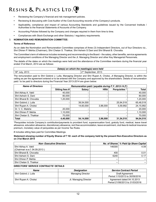- **•** Reviewing the Company's financial and risk management policies.
- **•** Reviewing & discussing with Cost Auditor of the Cost Accounting records of the Company's products.
- **•** Applicability, compliance and impact of various Accounting Standards and guidelines issued by the Concerned Institute / Authorities to the financial Statements of Accounts of the Company.
- **•** Accounting Policies followed by the Company and changes required in them from time to time.
- **•** Compliances with Stock Exchange and other Statutory / regulatory requirements.

### 3. **NOMINATION AND REMUNERATION COMMITTEE:**

### **Terms of Reference**

As on date the Nomination and Remuneration Committee comprises of three (3) Independent Directors, out of four Directors viz., Shri Dhiren P. Mehta (Chairman), Shri Chetan S. Thakkar, Shri Ashwin S Dani and Shri Bharat B. Chovatia.

The Committee's term of reference includes reviewing and recommending to the Board – the salary, other benefits, service agreements and employment conditions of the Managing Director and the Jt. Managing Director and other Key Managerial Personnels.

The details of the dates on which the meetings were held and the attendance of the Committee members during the financial year ended 31st March, 2014 are as follows:

| Date(s) on which the meeting(s) were held    |                            |
|----------------------------------------------|----------------------------|
| $^{\prime}$ 18 <sup>th</sup> .<br>July, 2013 | -2013<br>2n<br>۔ eptemberت |

The remuneration paid to Shri Gobind J. Lulla, Managing Director and Shri Rupen A. Choksi, Jt Managing Director, is within the ceiling as per the agreement entered or to be entered with the Company and approved by the shareholders. Details of remuneration paid / to be paid to directors during the Financial Year 2013-2014 are given below:

| <b>Name of Directors</b> | Remuneration paid / payable during F.Y. 2013-14 (₹) |               |            |               |              |
|--------------------------|-----------------------------------------------------|---------------|------------|---------------|--------------|
|                          | Sitting fees #                                      | <b>Salary</b> | <b>HRA</b> | Perquisites * | <b>Total</b> |
| Shri Abhay A. Vakil      | 40.000                                              |               |            |               | 40,000       |
| Shri Ashwin S. Dani      | 80,000                                              |               |            |               | 80,000       |
| Shri Bharat B. Chovatia  | 1,20,000                                            |               |            |               | 1,20,000     |
| Shri Gobind J. Lulla     |                                                     | 39,54,000     |            | 25,94,518     | 65,48,518    |
| Shri Rupen A. Choksi     |                                                     | 14.60.000     | 3,96,000   | 5,59,992      | 24, 15, 992  |
| Dr. V. C. Malshe         | 20,000                                              |               |            |               | 20,000       |
| Shri Dhiren P. Mehta     | 1,10,000                                            |               |            |               | 1,10,000     |
| Shri Chetan S. Thakkar   | 70.000                                              |               |            |               | 70.000       |
| <b>Total</b>             | 4,40,000                                            | 54,14,000     | 3,96,000   | 31,54,510     | 94,04,510    |

\*Perquisites include Company's contribution/payments to provident fund, superannuation fund, gratuity fund, medical, leave travel allowance, education allowance, discretionary allowance, rent free accommodation, leave encashment, club fees & medical insurance premium, monetary value of perquisites as per Income Tax Rules.

# includes sitting fees paid for Committee Meetings.

### **Statement showing number of Equity Shares of** ` **10/- each of the company held by the present Non-Executive Directors as on 31st March 2014**

| <b>Non-Executive Directors</b> |        | No. of Shares   % Paid Up Share Capital |
|--------------------------------|--------|-----------------------------------------|
| Shri Abhay A. Vakil            | 146300 | 4.09                                    |
| (Chairman w.e.f. 04.09.2013)   |        |                                         |
| Shri Bharat B. Chovatia        | 400    | 0.01                                    |
| Shri Ashwin S. Dani            | 6240   | 0.17                                    |
| Shri Dhiren P. Mehta           | $- -$  |                                         |
| Shri Chetan S. Thakkar         | $- -$  | --                                      |

### **DIRECTORS' SERVICE CONTRACTS' DETAILS**

| Name                 | <b>Designation</b>       | <b>Service Contract Period</b>                                |
|----------------------|--------------------------|---------------------------------------------------------------|
| Shri Gobind J. Lulla | <b>Managing Director</b> | Draft Agreement<br>Period 1/10/2013 to 30/09/2016             |
| Shri Rupen A. Choksi | Jt. Managing Director    | Agreement dated 04.10.2013<br>Period 21/06/2013 to 31/03/2016 |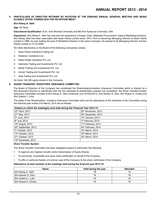### **5. PARTICULARS OF DIRECTOR RETIRING BY ROTATION AT THE ENSUING ANNUAL GENERAL MEETING AND BEING ELIGIBLE OFFER THEMSELVES FOR RE-APPOINTMENT:**

### **Shri Abhay A. Vakil**

### **Age:** 64 Years

**Educational Qualification:** B.Sc. from Mumbai University and BS from Syracuse University, USA

**Experience:** Shri Abhay A. Vakil has vast and rich experience in Supply Chain, Materials Procurement, Sales & Marketing functions. Shri Abhay Vakil has been associated with Asian Paints Limited since 1974. Prior to becoming Managing Director of Asian Paints Limited in 1998, he was holding the post of Wholetime Director in the same Company. He ceased to be Managing Director of Asian Paints Limited on 31.03.2009.

He holds directorship on the Board of the following Companies namely;

- 1. Asian Paints Industrial Coating Ltd.
- 2. Vikatmev Containers Ltd.
- 3. Kalica Paper Industries Pvt. Ltd.
- 4. Asteroids Trading and Investments Pvt. Ltd.
- 5. Nehal Trading and Investments Pvt. Ltd.
- 6. Unnati Trading and Investments Pvt. Ltd.
- 7. Jalaj Trading and Investments Pvt. Ltd.

He holds 146,300 equity shares in the Company.

### **6. SHARE TRANSFER / INVESTORS' GRIEVANCE COMMITTEE:**

The Board of Directors of the Company has constituted the Shareholders/Investors Grievance Committee which is chaired by a Non-Executive Director to specifically look into the redressal of shareholders queries and complaints; the Share Transfer/Investor Grievance Committee consists of Shri Abhay A. Vakil (Chairman w.e.f 04-09-2013), Shri Ashwin S. Dani, Shri Rupen A. Choksi and Shri Gobind J. Lulla.

The dates of the Shareholders / Investors Grievance Committee held and the attendance of the members of the Committee during the financial year ended 31st March, 2014 are as follows:

| Date(s) on which the meeting(s) were held during the Financial Year 2013-14: |                              |  |
|------------------------------------------------------------------------------|------------------------------|--|
| 22 <sup>nd</sup> April, 2013                                                 | 25th November, 2013          |  |
| 27th May, 2013                                                               | 30th December, 2013          |  |
| 3rd June, 2013                                                               | 13th January, 2014           |  |
| 8 <sup>th</sup> July, 2013                                                   | 3rd February, 2014           |  |
| 19th August, 2013                                                            | 17th February, 2014          |  |
| 30 <sup>th</sup> September, 2013                                             | 24th February, 2014          |  |
| 7 <sup>th</sup> October, 2013                                                | 10 <sup>th</sup> March, 2014 |  |
| 14 <sup>th</sup> October, 2013                                               | 18 <sup>th</sup> March, 2014 |  |
| 21 <sup>st</sup> October, 2013                                               | 24 <sup>th</sup> March, 2014 |  |
| 18 <sup>th</sup> November, 2013                                              |                              |  |

### **Share Transfer System:**

The Share Transfer Committee has been delegated powers to administer the following:

- **•** To approve and register transfer and/or transmission of Equity Shares.
- **•** To sub-divide, consolidate and issue share certificates on behalf of the Company.
- **•** To affix or authorize fixation of common seal of the Company to the share certificates of the Company.

### **Attendance of each member at the meetings held during the financial year 2013-14:**

| <b>Name</b>          | Held during the year | <b>Attended</b> |
|----------------------|----------------------|-----------------|
| Shri Abhay A. Vakil  |                      | 19              |
| Shri Ashwin S. Dani  | 19                   | 19              |
| Shri Gobind J. Lulla | 19                   | 19              |
| Shri Rupen A. Choksi | 19                   | 19              |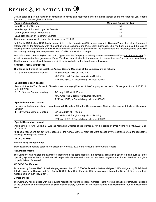Details pertaining to the number of complaints received and responded and the status thereof during the financial year ended 31st March, 2014 are given as follows:

| <b>Nature of Complaints</b>               | <b>Received During the Year</b> |  |
|-------------------------------------------|---------------------------------|--|
| Non- Receipt of Dividend                  | Nil                             |  |
| Non-Receipt of Shares Lodged for Transfer | Nil                             |  |
| Others (N/R of Annual Report etc.)        | Nil                             |  |
| SEBI (Non-receipt of Transfer of Shares)  | Nil                             |  |

There were no complaints during the financial year 2013-14.

Smt. Sunita R Satpalkar, CFO, has been appointed as the Compliance Officer, as required by **Clause 47(a)** of the Listing Agreement entered into by the Company with Ahmedabad Stock Exchange and Pune Stock Exchange. She has been entrusted the task of meeting fully the requirements of the said clause as well attending to grievances of the shareholders and investors; compliance with the statutory and regulatory requirements etc. of SEBI, and stock exchanges.

With reference to **clause 47(f**) of the Listing Agreement the Company has designated exclusive e-mail ID as *info@resplast.com* for investors to register their grievances, if any. This has been initiated by the company to resolve investors' grievances, immediately. The Company has displayed the said e-mail ID on its Website for the knowledge of Investors.

### **GENERAL BODY MEETINGS:**

### **The Venue and time of the last three Annual General Meetings of the Company are as follows:**

| 52 <sup>nd</sup> Annual General Meeting | $4th$ September, 2013 at 11.00 a.m.              |
|-----------------------------------------|--------------------------------------------------|
|                                         | M.C. Ghia Hall, Bhogilal Hargovindas Building,   |
|                                         | $2nd$ Floor, 18/20, K Dubash Marg, Mumbai 400001 |
| . Casatal Desaluttan nessaalu           |                                                  |

### **Special Resolution passed:**

Re-appointment of Shri Rupen A. Choksi as Joint Managing Director of the Company for the period of three years from 21.06.2013 to 31.03.2016.

| 51 <sup>st</sup> Annual General Meeting | $ 24th$ July, 2012 at 11.00 a.m.                           |
|-----------------------------------------|------------------------------------------------------------|
|                                         | M.C. Ghia Hall, Bhogilal Hargovindas Building,             |
|                                         | 2 <sup>nd</sup> Floor, 18/20, K Dubash Marg, Mumbai 400001 |

### **Special Resolution passed:**

Revision in the Remuneration in accordance with Schedule XIII to the Companies Act, 1956, of Shri Gobind J. Lulla as Managing Director.

| 50th Annual General Meeting | 20 <sup>th</sup> July, 2011 at 11.00 a.m.                  |
|-----------------------------|------------------------------------------------------------|
|                             | M.C. Ghia Hall, Bhogilal Hargovindas Building,             |
|                             | 2 <sup>nd</sup> Floor, 18/20, K Dubash Marg, Mumbai 400001 |
|                             |                                                            |

### **Special Resolution passed:**

Appointment of Shri Gobind J. Lulla as Managing Director of the Company for the period of three years from 01.10.2010 to 30.09.2013.

All special resolutions set out in the notices for the Annual General Meetings were passed by the shareholders at the respective meetings with requisite majority.

### **DISCLOSURES:**

### **Related Party Transactions:**

Transactions with related parties are disclosed in Note No. 29.2 to the Accounts in the Annual Report.

### **Risk Management:**

The Company has initiated the exercise of identifying risks being faced by the company. Risk Minimisation is being built up in the operating systems & these procedures will be periodically reviewed to ensure that the management minimizes the risks through a properly defined framework.

### **MD / CFO Certification:**

As required by Clause 49(V) of the Listing Agreement, the MD / CFO Certificate for the financial year 2013-14 signed by Shri Gobind J. Lulla, Managing Director and Smt. Sunita R. Satpalkar, Chief Financial Officer was placed before the Board of Directors at their meeting held on 19th May, 2014 .

### **Compliances:**

The Company has complied with the requisite regulations relating to capital markets. There were no penalties or strictures imposed on the Company by Stock Exchange or SEBI or any statutory authority, on any matter related to capital markets, during the last three years.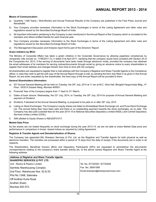### **Means of Communication:**

- a) Quarterly / Half Yearly / Nine-Months and Annual Financial Results of the Company are published in the Free Press Journal and Navashakti.
- b) Your Company provides necessary information to the Stock Exchanges in terms of the Listing Agreement and other rules and regulations issued by the Securities Exchange Board of India.
- c) All important information pertaining to the Company is also mentioned in the Annual Report of the Company which is circulated to the members and others entitled thereto for each financial year.
- d) Your Company provides necessary information to the Stock Exchanges in terms of the Listing Agreement and other rules and regulations issued by the Securities Exchange Board of India.
- e) The Management Discussion and Analysis report forms part of the Directors' Report.

### **Green Initiative by MCA:**

The Ministry of Corporate Affairs has taken a green initiative in the Corporate Governance by allowing paperless compliances by companies vide circular no. 17/95/2011 CL-V dated 21st April 2011, clarifying that the company would have complied with Section 20 of the Companies Act, 2013, if the serving of documents have been made through electronic mode, provided the company has obtained the email addresses of its members for serving notices/documents through email by giving an advance notice to every shareholders to register their email address and changes therein from time to time with the company.

All shareholders are requested to register their e-mail address with the Company's Registrar and Share Transfer Agents or the Compliance officer, in case they wish to get the soft copy of the Annual Report through e-mail, by sending the form duly filled in as given in this Annual Report. As and when requested by the shareholder, the hard copy of the Annual Report will be provided to them.

#### **General Shareholders Information:**

- a) 53<sup>rd</sup> Annual General Meeting will be held on Tuesday, the 29<sup>th</sup> July, 2014 at 11 am at M.C. Ghia Hall, Bhogilal Hargovindas Bldg., 4<sup>th</sup> Floor, 18/20 K Dubash Marg, Mumbai 400001.
- b) Financial Year of the Company begins from 1<sup>st</sup> April to 31<sup>st</sup> March
- c) Dates of book closure: Wednesday, the 23<sup>rd</sup> July, 2014, to Tuesday, the 29<sup>th</sup> July, 2014 for purpose of Annual General Meeting and payment of Dividend.
- d) Dividend, if declared at the Annual General Meeting, is proposed to be paid on or after 29<sup>th</sup> July, 2014
- e) Listing on Stock Exchanges: The Company's equity shares are listed on Ahmedabad Stock Exchange Ltd. and Pune Stock Exchange Ltd. The annual listing fees have been paid and there is no outstanding payment towards the stock exchanges, as on date. The Company has also paid custodial fees for the year 2014-15 to National Securities Depository Limited (NSDL) and Central Depository Services (India) Limited (CDSL).
- f) ISIN allotted to Equity Shares is INE422F01017.

#### **Market Data Price:**

As the shares are not traded frequently on stock exchange during the year 2013-14, we are not able to share Market Data price and performance in comparison in broad –based indices as required by Listing Agreement.

### **Registrar & Transfer Agents and Dematerialisation of Shares:**

The Company has appointed M/s Sharepro Services (I) Pvt. Ltd. as the Registrar and Transfer Agents for both physical as well as electronic transfers. The transfers are processed within a period of 15 days from the date of receipt, if the documents are in order in all respects.

The Shareholders, Beneficial Owners (BOs) and Depository Participants (DPs) are requested to send/deliver the documents/ correspondence relating to the company's share transfer activity etc. to the above named Registrar and Share Transfer Agent at the following address:

| <b>Address of Registrar and Share Transfer Agents</b> |                                     |  |
|-------------------------------------------------------|-------------------------------------|--|
| SHAREPRO SERVICES (I) PVT. LTD.                       |                                     |  |
| Unit: Resins & Plastics Limited                       | Tel. No. 67720300 / 67720400        |  |
| Samhita Warehousing Complex                           | Fax. No. 28591568                   |  |
| 2nd Floor, Warehouse Nos. 52 & 53                     | Email:sharepro@shareproservices.com |  |
| Plot No.13AB, Sakinaka                                |                                     |  |
| l Off Andheri Kurla Road                              |                                     |  |
| Andheri (East)                                        |                                     |  |
| Mumbai 400 072.                                       |                                     |  |
|                                                       |                                     |  |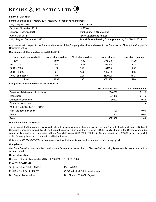### **Financial Calendar:**

For the year ending 31<sup>st</sup> March, 2015, results will be tentatively announced:

| July / August, 2014             | <b>First Quarter</b>                                                    |
|---------------------------------|-------------------------------------------------------------------------|
| October / November, 2014        | <b>Half Yearly</b>                                                      |
| January / February, 2015        | Third Quarter & Nine Months                                             |
| April / May, 2015               | Fourth Quarter and Annual                                               |
| July / August / September, 2015 | Annual General Meeting for the year ending 31 <sup>st</sup> March, 2015 |

Any queries with respect to the financial statements of the Company should be addressed to the Compliance officer at the Company's Registered Office.

### **Distribution of Shareholding as on 31.03.2014:**

| No. of equity shares held | No. of shareholders | % of shareholders | No. of shares | % of share holding |
|---------------------------|---------------------|-------------------|---------------|--------------------|
| $-500$                    | 1507                | 77.80             | 396128        | 11.09              |
| $501 - 1000$              | 254                 | 13.11             | 206150        | 5.77               |
| $1001 - 2000$             | 102                 | 5.27              | 141190        | 3.95               |
| $2001 - 10000$            | 34                  | 1.76              | 138742        | 3.88               |
| 10001 and above           | 40                  | 2.06              | 2690090       | 75.31              |
| <b>Total</b>              | 1937                | 100               | 3572300       | 100                |

### **Categories of Shareholders as on 31.03.2014:**

|                                     | No. of shares held | % of Shares held |
|-------------------------------------|--------------------|------------------|
| Directors, Relatives and Associates | 2546200            | 71.28            |
| <b>Individuals</b>                  | 991878             | 27.76            |
| Domestic Companies                  | 30622              | 0.86             |
| <b>Financial Institutions</b>       |                    |                  |
| Mutual Funds/ Banks / Fils / OCBs   |                    |                  |
| Non-Resident Individuals            | 3100               | 0.09             |
| <b>Trusts</b>                       | 500                | 0.01             |
| <b>Total</b>                        | 3572300            | 100              |

### **Dematerialisation of Shares:**

The shares of the Company are available for dematerialisation (holding of shares in electronic form) on both the depositories viz. National Securities Depository Limited (NSDL) and Central Depository Services (India) Limited (CDSL). Equity Shares of the Company are to be compulsorily traded in the dematerialised form. As on 31st March, 2014, 29,49,300 Equity Shares comprising of 82.56% of paid up capital of the Company, have been dematerialised by the investors.

Outstanding GDR's/ADR's/Warrants or any convertible instruments, conversion data and impact on equity: NIL

### **Compliance:**

Certificate from Company's Auditors on Corporate Governance, as required by Clause 49 of the Listing Agreement, is incorporated in this Annual Report.

### **Other Information:**

Corporate Identification Number (CIN ) : L25209MH1961PLC012223

### **PLANT LOCATIONS**

| Taloja Industrial Estate of MIDC, | <b>Plot No 3607</b>                 |
|-----------------------------------|-------------------------------------|
| Post Box No.6, Taloja 410208,     | GIDC Industrial Estate, Ankleshwar, |
| Dist Raigad, Maharashtra.         | Dist Bharuch 393 002, Gujarat.      |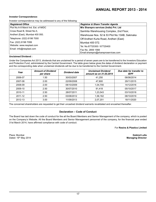### **Investor Correspondence:**

Investor correspondence may be addressed to any of the following:

| <b>Registered Office</b>            | <b>Registrar &amp; Share Transfer Agents</b>  |
|-------------------------------------|-----------------------------------------------|
| Plot No.A-8 Marol Ind. Est. of MIDC | M/s Sharepro services (India) Pvt. Ltd        |
| Cross Road B, Street No.5,          | Samhita Warehousing Complex, 2nd Floor,       |
| Andheri (East), Mumbai 400 093.     | Warehouse Nos. 52 & 53 Plot No.13AB, Sakinaka |
| Telephone: (022) 6198 7000          | Off Andheri Kurla Road, Andheri (East)        |
| Fax: (022) 6198 7099                | l Mumbai 400 072.                             |
| Website: www.resplast.com           | Tel. No.67720300 / 67720400                   |
| Email: info@resplast.com            | Fax No. 2859 1568                             |
|                                     | Email:sharepro@shareproservices.com           |

### **Unclaimed Dividend :**

Under the Companies Act 2013, dividends that are unclaimed for a period of seven years are to be transferred to the Investors Education and Protection Fund, administered by the Central Government. The table given below gives the dates of dividend declaration or payment and the corresponding date when unclaimed dividends will be due to be transferred to the Central Government.

| Year    | <b>Amount of Dividend</b><br>per share | Dividend date | <b>Unclaimed Dividend</b><br>amount as on 31.03.2014 | Due date for transfer to<br><b>IEPF</b> |
|---------|----------------------------------------|---------------|------------------------------------------------------|-----------------------------------------|
| 2006-07 | 1.50                                   | 30/03/2007    | 41.250                                               | 06/06/2014                              |
| 2007-08 | 2.00                                   | 22/09/2008    | 47,800                                               | 29/11/2015                              |
| 2008-09 | 2.00                                   | 08/10/2009    | 1,04,700                                             | 14/12/2016                              |
| 2009-10 | 2.50                                   | 30/07/2010    | 91,418                                               | 05/10/2017                              |
| 2010-11 | 2.50                                   | 28/07/2011    | 1,23,543                                             | 03/10/2018                              |
| 2011-12 | 2.50                                   | 03/08/2012    | 1,58,162                                             | 08/10/2019                              |
| 2012-13 | 3.00                                   | 11/09/2013    | 2,07,201                                             | 18/11/2020                              |

The concerned shareholders are requested to get their uncashed dividend warrants revalidated and encashed thereafter.

### **Declaration – Code of Conduct**

The Board has laid down the code of conduct for the all the Board Members and Senior Management of the company, which is posted on the Company's Website. All the Board Members and Senior Management personnel of the company, for the financial year ended 31st March 2014, have affirmed compliance with code of conduct.

For **Resins & Plastics Limited**

Place: Mumbai **Gobind Lulla** Dated: 19th May 2014 **Managing Director**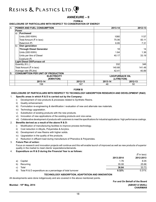### **ANNEXURE – II**

**FORM-A**

### **DISCLOSURE OF PARTICULARS WITH RESPECT TO CONSERVATION OF ENERGY**

| A.        |                          | <b>POWER AND FUEL CONSUMPTION</b>         |         | $2013 - 14$ | 2012-13                |
|-----------|--------------------------|-------------------------------------------|---------|-------------|------------------------|
|           |                          | Power                                     |         |             |                        |
|           | a)                       | Purchased                                 |         |             |                        |
|           |                          | Units (000 KWH)                           |         | 1080        | 1137                   |
|           | Total Amount (₹ in lacs) |                                           |         | 75.06       | 83.11                  |
|           |                          | Rate/Unit (そ)                             |         | 6.95        | 7.31                   |
|           | b)                       | Own generation                            |         |             |                        |
|           |                          | <b>Through Diesel Generator</b>           |         | 18          | 14                     |
|           |                          | Units (000 KWH)                           |         | 1.64        | 1.36                   |
|           |                          | Units per litre of Diesel                 |         | 40.17       | 33.19                  |
|           |                          | Cost/unit (₹)                             |         |             |                        |
|           |                          | <b>Light Diesel Oil/Furnace oil</b>       |         |             |                        |
|           |                          | Quantity (K.L.)                           |         | 332         | 346                    |
|           |                          | Total Amount (₹ in lacs)                  |         | 140.68      | 141.48                 |
|           | Average rate (₹/Litre)   |                                           |         | 42.41       | 40.89                  |
| <b>B.</b> |                          | <b>CONSUMPTION PER UNIT OF PRODUCTION</b> |         |             |                        |
|           |                          | <b>ELECTRICITY</b>                        |         |             | <b>LDO/FURNACE OIL</b> |
|           | (KWH/TON)                |                                           |         |             | (LITRE/TON)            |
|           |                          | 2013-14                                   | 2012-13 | 2013-14     | 2012-13                |
|           |                          | 158                                       | 167     | 48          | 50                     |

### **FORM B**

### **DISCLOSURE OF PARTICULARS WITH RESPECT TO TECHNOLOGY ABSORPTION RESEARCH AND DEVELOPMENT (R&D)**

### 1. **Specific areas in which R & D is carried out by the Company:**

- i) Development of new products & processes related to Synthetic Resins.
- ii) Quality enhancement.
- iii) Formulation re-engineering & identification / evaluation of new and alternate raw materials.
- iv) Technology upgradation.
- v) Substitution of existing products with the new products.
- vi) Innovation of new applications of the existing products and vice-versa.
- vii) Collaborative development of products with customers to meet the specifications for industrial applications / high performance coatings.

### 2. **Benefits derived as a result of the above R & D:**

- i) Modification of manufacturing facilities to improve process technology.
- ii) Cost reduction in Alkyds, Polyamides & Acrylics.
- iii) Development of new Resins with higher solids.
- iv) Upgradation in the quality of the products.
- v) Reduction in effluent load during manufacture of Phenolics & Polyamides.

### 3. **Future Plan of action:**

Focus on research and innovation projects will continue and this will enable launch of improved as well as new products of superior quality in the market to meet clients' expectations/demands.

### 4. **Expenditure on R & D during the Financial Year is as follows:**

|     |                                                           |           | (₹ in lacs) |
|-----|-----------------------------------------------------------|-----------|-------------|
|     |                                                           | 2013-2014 | 2012-2013   |
| a)  | Capital                                                   | 1.76      | 8.05        |
| b)  | Recurring                                                 | 35.08     | 25.68       |
| C l | Total                                                     | 36.84     | 33.73       |
| d)  | Total R & D expenditure as a percentage of total turnover | 0.32%     | 0.31%       |

### **TECHNOLOGY ABSORPTION, ADAPTATION AND INNOVATION**

All developments were done indigenously and are covered in the above mentioned points.

**For and On Behalf of the Board Mumbai : 19th May, 2014 (ABHAY A VAKIL) CHAIRMAN**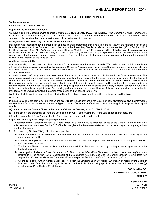### **INDEPENDENT AUDITORS' REPORT**

### **To the Members of RESINS AND PLASTICS LIMITED**

### **Report on the Financial Statements**

We have audited the accompanying financial statements of **RESINS AND PLASTICS LIMITED** ("the Company"), which comprise the Balance Sheet as at 31st March , 2014, the Statement of Profit and Loss and the Cash Flow Statement for the year then ended, and a summary of the significant accounting policies and other explanatory information.

#### **Management's Responsibility for the Financial Statements**

Management is responsible for the preparation of these financial statements that give a true and fair view of the financial position and financial performance of the Company in accordance with the Accounting Standards referred to in sub-section (3C) of Section 211 of the Companies Act, 1956 ("the Act") read with General Circular 15/2013 dated 13<sup>th</sup> September, 2013 of the Ministry of Corporate Affairs in respect of Sec. 133 of the Companies Act, 2013. This responsibility includes the design, implementation and maintenance of internal control relevant to the preparation and presentation of the financial statements that give a true and fair view and are free from material misstatement, whether due to fraud or error.

#### **Auditors' Responsibility**

Our responsibility is to express an opinion on these financial statements based on our audit. We conducted our audit in accordance with the Standards on Auditing issued by the Institute of Chartered Accountants of India. Those Standards require that we comply with ethical requirements and plan and perform the audit to obtain reasonable assurance about whether the financial statements are free from material misstatement.

An audit involves performing procedures to obtain audit evidence about the amounts and disclosures in the financial statements. The procedures selected depend on the auditor's judgment, including the assessment of the risks of material misstatement of the financial statements, whether due to fraud or error. In making those risk assessments, the auditor considers the internal control relevant to the Company's preparation and fair presentation of the financial statements in order to design audit procedures that are appropriate in the circumstances, but not for the purpose of expressing an opinion on the effectiveness of the entity's internal control. An audit also includes evaluating the appropriateness of accounting policies used and the reasonableness of the accounting estimates made by the Management, as well as evaluating the overall presentation of the financial statements.

We believe that the audit evidence we have obtained is sufficient and appropriate to provide a basis for our audit opinion.

#### **Opinion**

In our opinion and to the best of our information and according to the explanations given to us, the financial statements give the information required by the Act in the manner so required and give a true and fair view in conformity with the accounting principles generally accepted in India:

- (a) in the case of the Balance Sheet, of the state of affairs of the Company as at  $31<sup>st</sup>$  March, 2014;
- (b) in the case of the Statement of Profit and Loss, of the "**PROFIT**" of the Company for the year ended on that date. and
- (c) in the case of Cash Flow Statement of the Cash flows for the year ended on that date.

### **Report on Other Legal and Regulatory Requirements**

- 1. As required by the Companies (Auditor's Report) Order, 2003 ("the order") as amended, issued by the Central Government of India in terms of sub-section (4A) of Section 227 of the Act, we give in the Annexure a statement on the matters specified in paragraphs 4 and 5 of the Order.
- 2. As required by Section 227(3) of the Act, we report that:
	- (a) We have obtained all the information and explanations which to the best of our knowledge and belief were necessary for the purposes of our audit;
	- (b) In our opinion, proper books of account as required by law have been kept by the Company so far as it appears from our examination of those books;
	- (c) The Balance Sheet, Statement of Profit and Loss and Cash Flow Statement dealt with by this Report are in agreement with the books of account;
	- (d) In our opinion, the Balance Sheet, Statement of Profit and Loss and Cash Flow Statement comply with the Accounting Standards referred to in sub-section (3C) of Section 211 of the Companies Act, 1956 read with the General Circular 15/2013 dated 13<sup>th</sup> September, 2013 of the Ministry of Corporate Affairs in respect of Section 133 of the Companies Act, 2013.
	- (e) On the basis of the written representations received from the Directors as on 31st March, 2014 taken on record by the Board of Directors, none of the directors is disqualified as on 31st March, 2014 from being appointed as a director in terms of clause (g) of sub-section (1) of Section 274 of the Act.

**FOR SHAH & CO. CHARTERED ACCOUNTANTS** FRN 109430W

**ASHISH SHAH** Mumbai **PARTNER** 19th May, 2014 M. No: 103750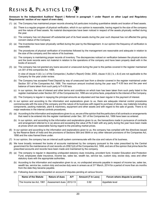### **Annexure to the Independent Auditors' Report ( Referred in paragraph 1 under Report on other Legal and Regulatory Requirements' section of our report of even date).**

- (1) (a) The Company has maintained proper records showing full particulars including quantitative details and location of fixed assets.
	- (b) There is a regular program of physical verification, which in our opinion is reasonable, having regard to the size of the company and the nature of fixed assets. No material discrepancies have been noticed in respect of the assets physically verified during the year.
	- (c) The company has not disposed off substantial part of its fixed assets during the year such disposal has not affected the going concern status of the Company.
- (2) (a) The Inventories have been physically verified during the year by the Management. In our opinion the frequency of verification is reasonable.
	- (b) The procedures of physical verification of inventories followed by the management are reasonable and adequate in relation to the size of the company and the nature of its business.
	- (c) The company is maintaining proper records of inventory. The discrepancies noticed on verification between the physical stocks and the book records were not material in relation to the operations of the company and have been properly dealt with in the books of account.
- (3) (a) The company has not granted any loans secured or unsecured during the year to the parties covered in the register maintained u/s 301 of the companies Act, 1956.

 In view of clause 4 (iii) ( a ) of the Companies ( Auditor's Report) Order, 2003, clause 4 (iii) ( b, c & d) are not applicable to the Company for the year under review.

- (b) The Company has accepted Fixed Deposit by way of unsecured loan from a director covered in the register maintained under Section 301 of the Companies Act, 1956. The maximum amount involved during the year was  $\bar{\tau}$  4.00 lacs and the year end balance of loans taken from such party is  $\bar{\tau}$  4.00 lacs.
- (c) In our opinion, the rate of interest and other terms and conditions on which loan has been taken from such party listed in the register maintained under Section 301 of the Companies Act, 1956 are not prima facie, prejudicial to the interest of the Company.
- (d) The Company is regular in repaying the principal amounts as stipulated and has been regular in the payment of interest.
- (4) In our opinion and according to the information and explanations given to us, there are adequate internal control procedures commensurate with the size of the company and the nature of its business with regard to purchase of stores, raw materials including components, packing materials, plant & machinery, equipment and other assets and with regard to the sale of goods. There is no major weakness in the internal controls procedures.
- (5) (a) According to the information and explanations given to us, we are of the opinion that the particulars of all contracts or arrangements that need to be entered into the register maintained under Sec. 301 of the Companies Act, 1956 have been so entered.
	- (b) In our opinion, and according to the information and explanations given to us, the transactions made in pursuance of contracts and arrangement referred to in (a) above and exceeding the value of Rs 5 lakh with any party during the year have been made at prices which are reasonable having regard to the prevailing market prices.
- (6) In our opinion and according to the information and explanations given to us, the company has complied with the directives issued by the Reserve Bank of India and the provisions of Sections 58A and 58AA or any other relevant provisions of the Companies Act, 1956 and the rules framed there under.
- (7) In our opinion, the company has an internal audit system commensurate with the size and nature of its business.
- (8) We have broadly reviewed the books of accounts maintained by the company pursuant to the rules prescribed by the Central government for the maintenance of cost records u/s 209(1)(d) of the Companies Act, 1956, and are of the opinion that prima facie the prescribed accounts and records have been made and maintained by the company.
- (9) (a) The company is regular in depositing undisputed statutory dues including, provident fund, Investor Education and Protection Fund, employees state insurance, income tax, sales tax, wealth tax, service tax, custom duty, excise duty, cess and other statutory dues with the appropriate authorities.
	- (b) According to the information and explanation given to us, no undisputed amounts payable in respect of income tax, sales tax, wealth tax, service tax, custom duty and excise duty were in arrears as at 31<sup>st</sup> March, 2014 for a period of more than six months from the date they became payable.
	- (c) Following dues are not deposited on account of disputes pending at various forums:

| Name of the Statute      | <b>Nature of dues</b>     | <b>A/Y</b> | Amount $($ ₹ In Lacs) | Forum where dispute is pending |
|--------------------------|---------------------------|------------|-----------------------|--------------------------------|
| The Income tax Act, 1961 | Assessment dues   2012-13 |            | 0.92                  | Appellate level                |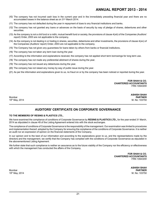- (10) The company has not incurred cash loss in the current year and in the immediately preceding financial year and there are no accumulated losses in the balance sheet as on 31<sup>st</sup> March 2014.
- (11) The company has not defaulted during the year in repayment of dues to any financial institutions and banks.
- (12) The company has not granted any loans or advances on the basis of security by way of pledge of shares, debentures and other securities.
- (13) As the company is not a chit fund or a nidhi, mutual benefit fund or society, the provisions of clause 4(xiii) of the Companies (Auditors' report) Order, 2003 are not applicable to the company.
- (14) As the company is not dealing in or trading in shares, securities, debentures and other investments, the provisions of clause 4(xiv) of the Companies (Auditors' report) Order, 2003 are not applicable to the company.
- (15) The Company has not given any guarantees for loans taken by others from banks or financial institutions.
- (16) The company has not taken any term loan during the year.
- (17) According to the information and explanations received, the company has not applied short term borrowings for long term use.
- (18) The company has not made any preferential allotment of shares during the year.
- (19) The company has not issued any debentures during the year.
- (20) The company has not raised any money by way of public issue during the year.
- (21) As per the information and explanations given to us, no fraud on or by the company has been noticed or reported during the year.

**FOR SHAH & CO. CHARTERED ACCOUNTANTS** FRN 109430W

19th May, 2014 M. No: 103750

**ASHISH SHAH** Mumbai **PARTNER**

### **AUDITORS' CERTIFICATE ON CORPORATE GOVERNANCE**

### **TO THE MEMBERS OF RESINS & PLASTICS LTD.,**

We have examined the compliance of conditions of Corporate Governance by **RESINS & PLASTICS LTD.,** for the year ended 31 March, 2014 as stipulated in clause 49 of the Listing Agreement entered into with the stock exchanges.

The compliance of conditions of Corporate Governance is the responsibility of the management. Our examination was limited to procedures and implementation thereof, adopted by the Company for ensuring the compliance of the conditions of Corporate Governance. It is neither an audit nor an expression of opinion on the financial statements of the Company.

In our opinion and to the best of our information and according to the explanations given to us, and the representations made by the directors and the management, we certify that the Company has complied with the conditions of Corporate Governance as stipulated in the abovementioned Listing Agreement.

We further state that such compliance is neither an assurance as to the future viability of the Company nor the efficiency or effectiveness with which the management has conducted the affairs of the Company.

> **FOR SHAH & CO. CHARTERED ACCOUNTANTS** FRN 109430W

**ASHISH SHAH** Mumbai **PARTNER** 19th May, 2014 M. No: 103750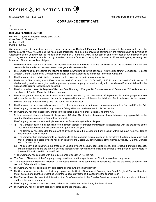CIN.:L25209MH1961PLC012223 Authorised Capital : ` 5,00,00,000/-

### **COMPLIANCE CERTIFICATE**

To,

### The Members of

#### **RESINS & PLASTICS LIMITED**

Plot No. A – 8, Marol Industrial Estate of M. I. D. C., Cross Road B, Street No. 5, Andheri (East), Mumbai- 400093

We have examined the registers, records, books and papers of **Resins & Plastics Limited** as required to be maintained under the Companies Act, 1956, (the Act) and the rules made thereunder and also the provisions contained in the Memorandum and Articles of Association of the Company for the financial year ended on 31st March, 2014. In our opinion and to the best of our information and according to the examinations carried out by us and explanations furnished to us by the company, its officers and agents, we certify that in respect of the aforesaid financial year:

- 1. The company has kept and maintained the registers as stated in Annexure 'A' to this certificate, as per the provisions of the Act and rules made thereunder and entries therein have generally been recorded.
- 2. The company has filed the forms and returns as stated in Annexure 'B' to this certificate, with the Registrar of Companies, Regional Director, Central Government, Company Law Board or other authorities as mentioned in the said Annexure.
- 3. The Company being a public limited company has the minimum prescribed paid-up capital.
- 4. The Board of Directors duly met 5 (Five) times on 26.04.2013, 18.07.2013, 04.09.2013, 24.10.2013 and on 28.01.2014 in respect of which meetings notices were given and the proceedings were properly recorded and signed in the Minutes Book maintained for the purpose. (No circular resolution was passed.)
- 5. The Company had closed its Register of Members from Thursday, 29<sup>th</sup> August 2013 to Wednesday, 4<sup>th</sup> September 2013 and necessary compliance of Section 154 of the Act has been made.
- 6. The annual general meeting for the financial year ended on  $31<sup>st</sup>$  March, 2013 was held on  $4<sup>th</sup>$  September, 2013 after giving due notice to the members of the company and the resolutions passed thereat were duly recorded in Minutes Book maintained for the purpose.
- 7. No extra ordinary general meeting was held during the financial year.
- 8. The Company has not advanced any loan to its Directors and/ or persons or firms or companies referred to in Section 295 of the Act.
- 9. The Company has not entered into any contracts falling within the purview of section 297 of the Act.
- 10. The Company has made necessary entries in the register maintained under Section 301 of the Act.
- 11. As there were no instances falling within the purview of Section 314 of the Act, the company has not obtained any approvals from the Board of Directors, members or Central Government.
- 12. The Company has not issued any duplicate share certificates during the financial year.
- 13. (i) The Company delivered all certificates on lodgment thereof for transfer/ transmission in accordance with the provisions of the Act. There was no allotment of securities during the financial year.
	- (ii) The Company has deposited the amount of dividend declared in a separate bank account within five days from the date of declaration of such dividend.
	- (iii) The Company has posted warrants for dividends to all the members within a period of 30 days from the date of declaration and that all unclaimed /unpaid dividend has been transferred to Unpaid Dividend Account of the Company with HDFC Bank, Mumbai on 7<sup>th</sup> October, 2013.
	- (iv) The company has transferred the amounts in unpaid dividend account, application money due for refund, matured deposits, matured debentures and the interest accrued thereon which have remained unclaimed or unpaid for a period of seven years to Investor Education and Protection Fund.
	- (v) The Company has complied with the requirements of section 217 of the Act.
- 14. The Board of Directors of the Company is duly constituted and the appointment of Directors have been duly made.
- 15. The appointment of Managing Director / Jt. Managing Director have been made in compliance with the provisions of Section 269 read with Schedule XIII to the Act.
- 16. The Company has not appointed any sole selling agents during the financial year.
- 17. The Company was not required to obtain any approvals of the Central Government, Company Law Board, Regional Director, Registrar and/or such other authorities prescribed under the various provisions of the Act during the financial year.
- 18. The Directors have disclosed their interest in other firms/ companies to the Board of Directors pursuant to the provisions of the Act and the rules made thereunder.
- 19. The Company has not issued any shares, debentures or other securities during the financial year.
- 20. The Company has not bought back any shares during the financial year.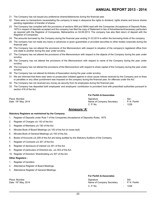- 21. The Company has not issued any preference shares/debentures during the financial year.
- 22. There were no transactions necessitating the company to keep in abeyance the rights to dividend, rights shares and bonus shares pending registration of transfer of shares.
- 23. The Company has complied with the provisions of sections 58A and 58AA read with the Companies (Acceptance of Deposit) Rules, 1975 in respect of deposits accepted and the company has filed the copy of Statement in lieu of Advertisement/necessary particulars as required with the Registrar of Companies, Maharashtra on 04.09.2013. The company has also filed return of deposit with the Registrar of Companies.
- 24. The amounts borrowed by the Company during the financial year ending 31.03.2014 is within the borrowing limits of the company.
- 25. The company has not made any loans or advances or given guarantees or provided securities to other bodies corporate during the financial year.
- 26. The Company has not altered the provisions of the Memorandum with respect to situation of the company's registered office from one state to another during the year under scrutiny.
- 27. The Company has not altered the provisions of the Memorandum with respect to the objects of the Company during the year under scrutiny.
- 28. The Company has not altered the provisions of the Memorandum with respect to name of the Company during the year under scrutiny.
- 29. The Company has not altered the provisions of the Memorandum with respect to share capital of the Company during the year under scrutiny.
- 30. The Company has not altered its Articles of Association during the year under scrutiny.
- 31. We are informed that there was/ were no prosecution initiated against or show cause notices received by the Company and no fines or penalties or any other punishment was imposed on the company during the financial year, for offences under the Act.
- 32. The Company has not received any money as security from its employees during the financial year.
- 33. The Company has deposited both employees' and employers' contribution to provident fund with prescribed authorities pursuant to section 418 of the Act.

Date:  $19<sup>th</sup>$  May, 2014

|  | <b>For Parikh &amp; Associates</b> |  |
|--|------------------------------------|--|
|  |                                    |  |

| Place: Mumbai                    | Signature                 | Sd/-           |
|----------------------------------|---------------------------|----------------|
| Date: 19 <sup>th</sup> May, 2014 | Name of Company Secretary | : P. N. Parikh |
|                                  | C. P. No.                 | 1228           |

### **Annexure 'A'**

### **Statutory Registers as maintained by the Company**

- 1. Register of Deposits under Rule 7 of the Companies (Acceptance of Deposits) Rules, 1975.
- 2. Register of Charges u/s 143 of the Act.
- 3. Register of Members u/s 150 of the Act.
- 4. Minutes Book of Board Meetings u/s 193 of the Act (in loose leaf).
- 5. Minutes Book of General Meetings u/s 193 of the Act.
- 6. Books of Accounts u/s 209 of the Act are being audited by the Statutory Auditors of the Company.
- 7. Register of Contracts u/s 301 of the Act.
- 8. Register of disclosure of interest u/s 301 of the Act.
- 9. Register of particulars of Directors etc. u/s 303 of the Act.
- 10. Register of Directors' Shareholding u/s 307 of the Act.

### **Other Registers :**

- 1. Register of transfers.
- 2. Attendance Register of Board Meetings.
- 3. Attendance Register of General Meetings.

### **For Parikh & Associates**

| Place: Mumbai                    | Signature                 | Sd/-          |
|----------------------------------|---------------------------|---------------|
| Date: 19 <sup>th</sup> May, 2014 | Name of Company Secretary | : P.N. Parikh |
|                                  | C. P. No.                 | 1228          |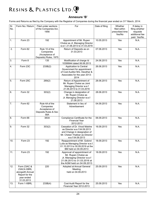### **Annexure 'B'**

Forms and Returns as filed by the Company with the Registrar of Companies during the financial year ended on 31<sup>st</sup> March, 2014:

| Sr.<br>No. | Form No./ Return                                                                            | Filed under sections<br>of the Companies Act,<br>1956                                                                          | For                                                                                                                                                 | Date of filing | Whether<br>filed within<br>prescribed time<br>Yes/No | If delay in<br>filing whether<br>requisite<br>additional fee<br>paid. Yes/No |
|------------|---------------------------------------------------------------------------------------------|--------------------------------------------------------------------------------------------------------------------------------|-----------------------------------------------------------------------------------------------------------------------------------------------------|----------------|------------------------------------------------------|------------------------------------------------------------------------------|
| 1.         | Form 23<br>192                                                                              |                                                                                                                                | Appointment of Mr. Rupen<br>Choksi as Jt. Managing Director<br>w.e.f. 21.06.2013 to 31.03.2016                                                      | 10.05.2013     | Yes                                                  | N.A.                                                                         |
| 2.         | Form 62                                                                                     | 07.06.2013<br>Rule 10 of the<br>Return of Deposits as on<br>31.03.2013<br>Companies<br>(Acceptance of<br>Deposits) Rules, 1975 |                                                                                                                                                     | Yes            | N.A.                                                 |                                                                              |
| 3.         | Form 8                                                                                      | 135                                                                                                                            | Modification of charge Id<br>10399944 dated 06.06.2013                                                                                              | 24.06.2013     | Yes                                                  | N.A.                                                                         |
| 4.         | Form 23C                                                                                    | 233B(2)                                                                                                                        | Application to Central<br>Government for appointment<br>of Cost Auditor M/s. Deodhar &<br>Associates for the year 2013-<br>2014                     | 26.06.2013     | Yes                                                  | N.A.                                                                         |
| 5.         | Form 25C                                                                                    | 269(2)                                                                                                                         | Return of Appointment of<br>Mr. Rupen Choksi as Joint<br>Managing Director w.e.f<br>21.06.2013 to 31.03.2016                                        | 28.06.2013     | Yes                                                  | N.A.                                                                         |
| 6.         | Form 32                                                                                     | 303(2)                                                                                                                         | Change in designation of<br>Mr. Rupen Choksi as<br>Jt. Managing Director w.e.f<br>21.06.2013                                                        | 28.06.2013     | Yes                                                  | N.A.                                                                         |
| 7.         | Form 62                                                                                     | Rule 4A of the<br>Companies<br>Acceptance of<br>Deposits Rules & Sec<br>58A                                                    | Statement in lieu of<br>Advertisement                                                                                                               | 04.09.2013     | Yes                                                  | N.A.                                                                         |
| 8.         | Form 66                                                                                     | 383A                                                                                                                           | Compliance Certificate for the<br><b>Financial Year</b><br>2012-2013                                                                                | 06.09.2013     | Yes                                                  | N.A.                                                                         |
| 9.         | Form 32                                                                                     | 303(2)                                                                                                                         | Cessation of Dr. Vinod Malshe<br>as Director w.e.f 04.09.2013<br>and Change in designation of<br>Mr. Chetan Thakkar as Director<br>w.e.f 04.09.2013 | 16.09.2013     | Yes                                                  | N.A.                                                                         |
| 10.        | Form 23                                                                                     | 192                                                                                                                            | Reappointment of Mr. Gobind<br>Lulla as Managing Director w.e.f.<br>01.10.2013 to 30.09.2016 at the<br>BM held on 04.09.2013                        | 18.09.2013     | Yes                                                  | N.A.                                                                         |
| 11.        | Form 23                                                                                     | 192                                                                                                                            | Approval of appointment of<br>Mr. Rupen Choksi as<br>Jt. Managing Director w.e.f<br>21.06.2013 to 31.03.2016 at<br>the AGM held on 04.09.2013       | 18.09.2013     | Yes                                                  | N.A.                                                                         |
| 12.        | Form 23AC &<br>23ACA XBRL<br>alongwith Annual<br>Report for the<br>year ended<br>31.03.2013 | 220                                                                                                                            | Adopted at Annual General<br>Meeting<br>held on 04.09.2013                                                                                          | 25.09.2013     | Yes                                                  | N.A.                                                                         |
| 13.        | Form 1-XBRL                                                                                 | 233B(4)                                                                                                                        | Cost Audit Report for the<br>Financial Year 2012-2013                                                                                               | 25.09.2013     | Yes                                                  | N.A.                                                                         |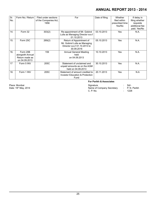| Sr.<br>No. | Form No./ Return                                                | Filed under sections<br>of the Companies Act,<br>1956 | For                                                                                                    | Date of filing | Whether<br>filed within<br>prescribed time<br>Yes/No | If delay in<br>filing whether<br>requisite<br>additional fee<br>paid. Yes/No |
|------------|-----------------------------------------------------------------|-------------------------------------------------------|--------------------------------------------------------------------------------------------------------|----------------|------------------------------------------------------|------------------------------------------------------------------------------|
| 14.        | Form 32                                                         | 303(2)                                                | Re-appointment of Mr. Gobind<br>Lulla as Managing Director w.e.f<br>01.10.2013                         | 03.10.2013     | Yes                                                  | N.A.                                                                         |
| 15.        | Form 25C                                                        | 269(2)                                                | Return of Appointment of<br>Mr. Gobind Lulla as Managing<br>Director w.e.f 01.10.2013 to<br>30.09.2016 | 05.10.2013     | Yes                                                  | N.A.                                                                         |
| 16.        | Form 20B<br>alongwith Annual<br>Return made as<br>on 04.09.2013 | 159                                                   | <b>Annual General Meeting</b><br>held<br>on 04.09.2013                                                 | 10.10.2013     | Yes                                                  | N.A.                                                                         |
| 17         | Form 5 INV                                                      | 205C                                                  | Statement of unclaimed and<br>unpaid amounts as on the AGM<br>held on 04.09.2013                       | 30.10.2013     | Yes                                                  | N.A.                                                                         |
| 18.        | Form 1 INV                                                      | 205C                                                  | Statement of amount credited to<br>Investor Education & Protection<br>Fund                             | 20.11.2013     | Yes                                                  | N.A                                                                          |

Place: Mumbai Date: 19<sup>th</sup> May, 2014

### **For Parikh & Associates**

| Place: Mumbai                    | Signature                 | -Sd/           |
|----------------------------------|---------------------------|----------------|
| Date: 19 <sup>th</sup> May, 2014 | Name of Company Secretary | : P. N. Parikh |
|                                  | C. P. No.                 | 1228           |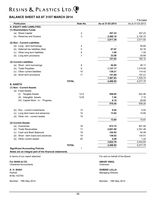### **BALANCE SHEET AS AT 31ST MARCH 2014**

| <b>Particulars</b>                     | Note No.         | As at 31-03-2014 | ₹ in Lacs<br>As at 31-03-2013 |
|----------------------------------------|------------------|------------------|-------------------------------|
| A. EQUITY AND LIABILITIES              |                  |                  |                               |
| (1) Shareholders Funds                 |                  |                  |                               |
| (a) Share Capital                      | $\boldsymbol{2}$ | 357.23           | 357.23                        |
| (b) Reserves and Surplus               | 3                | 2,460.16         | 2,154.70                      |
|                                        |                  | 2,817.39         | 2,511.93                      |
| (2) Non - Current Liabilities          |                  |                  |                               |
| (a) Long - term borrowings             | 4                |                  | 55.65                         |
| (b) Deferred tax liabilities (Net)     | 5                | 87.07            | 92.76                         |
| (c) Other long term liabilities        | 6                | 1.00             | 1.00                          |
| (d) Long term provisions               | $\overline{7}$   | 33.56            | 30.69                         |
|                                        |                  | 121.63           | 180.10                        |
| (3) Current Liabilities                |                  |                  |                               |
| (a) Short - term borrowings            | 8                | 52.65            | 38.17                         |
| (b) Trade Payables                     | 9                | 1,137.17         | 1.015.92                      |
| (c) Other current liabilities          | 10               | 136.21           | 114.42                        |
| (d) Short term provisions              | 11               | 141.80           | 157.21                        |
|                                        |                  | 1,467.83         | 1,325.72                      |
|                                        | <b>TOTAL</b>     | 4,406.85         | 4,017.75                      |
| <b>B. ASSETS</b>                       |                  |                  |                               |
| (1) Non - Current Assets               |                  |                  |                               |
| (a) Fixed Assets                       |                  |                  |                               |
| (I) Tangible Assets                    | 12.A             | 556.85           | 522.46                        |
| (II) Intangible Assets                 | 12.B             | 7.45             | 7.10                          |
| (III) Capital Work - in - Progress     |                  | 6.15             | 28.69                         |
|                                        |                  | 570.45           | 558.25                        |
|                                        |                  |                  |                               |
| Non - current investments<br>(b)       | 13               | 0.02             | 0.02                          |
| (c) Long term loans and advances       | 14               | 13.62            | 15.85                         |
| (d) Other non - current assets         | 15               |                  |                               |
|                                        |                  | 13.64            | 15.87                         |
| (2) Current Assets                     |                  |                  |                               |
| (a) Inventories                        | 16               | 973.72           | 901.94                        |
| (b) Trade Receivables                  | 17               | 2,601.60         | 2,351.48                      |
| (c) Cash and Bank Balances             | 18               | 104.93           | 54.48                         |
| Short - term loans and advances<br>(d) | 19               | 138.02           | 134.51                        |
| (e) Other current assets               | 20               | 4.49             | 1.22                          |
|                                        |                  | 3,822.76         | 3,443.63                      |
|                                        | <b>TOTAL</b>     | 4,406.85         | 4,017.75                      |
| <b>Significant Accounting Policies</b> | 1                |                  |                               |

**Notes are an integral part of the financial statements.**

**For SHAH & CO. ABHAY VAKIL**<br>
Chartered Accountants **ABHAY VAKIL**<br>
Chartered Accountants Chartered Accountants

M No 103750

Mumbai : 19th May 2014 Mumbai : 19th May 2014

In terms of our report attached For and on behalf of the Board

## **A. H. SHAH GOBIND LULLA**

**Managing Director**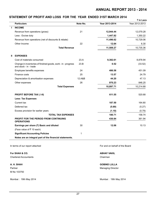### **STATEMENT OF PROFIT AND LOSS FOR THE YEAR ENDED 31ST MARCH 2014**

|   |                                                                                         |          |                | ₹ in Lacs      |
|---|-----------------------------------------------------------------------------------------|----------|----------------|----------------|
|   | <b>Particulars</b>                                                                      | Note No. | Year 2013-2014 | Year 2012-2013 |
|   | <b>INCOME</b>                                                                           |          |                |                |
|   | Revenue from operations (gross)                                                         | 21       | 12,944.44      | 12,079.28      |
|   | Less : Excise duty                                                                      |          | 1,447.82       | 1,350.22       |
|   | Revenue from operations (net of discounts & rebate)                                     |          | 11,496.62      | 10,729.06      |
|   | Other Income                                                                            | 22       | 12.64          | 6.30           |
|   | <b>Total Revenue</b>                                                                    |          | 11,509.27      | 10,735.36      |
| Ш | <b>EXPENSES</b>                                                                         |          |                |                |
|   | Cost of materials consumed                                                              | 23.A     | 9,382.61       | 8,878.94       |
|   | Change in inventories of finished goods, work - in - progress<br>and stock - in - trade | 23.B     | 0.52           | (33.52)        |
|   | Employee benefits expenses                                                              | 24       | 486.58         | 451.09         |
|   | Finance costs                                                                           | 25       | 13.57          | 24.79          |
|   | Depreciation & amortisation expenses                                                    | 12.A&B   | 44.20          | 47.13          |
|   | Other expenses                                                                          | 26       | 970.23         | 846.25         |
|   | <b>Total Expenses</b>                                                                   |          | 10,897.71      | 10,214.68      |
|   | <b>PROFIT BEFORE TAX (I-II)</b>                                                         |          | 611.55         | 520.68         |
|   | <b>Less: Tax Expenses</b>                                                               |          |                |                |
|   | Current tax                                                                             |          | 187.50         | 164.80         |
|   | Deferred tax                                                                            |          | (5.69)         | (5.27)         |
|   | Excess provision for earlier years                                                      |          | (1.10)         | (0.79)         |
|   | <b>TOTAL TAX EXPENSES</b>                                                               |          | 180.71         | 158.74         |
|   | PROFIT FOR THE PERIOD FROM CONTINUING<br><b>OPERATIONS</b>                              |          | 430.84         | 361.94         |
|   | Earnings per share $(\bar{z})$ Basic and diluted                                        | 30       | 12.06          | 10.13          |
|   | (Face value of ₹ 10 each)                                                               |          |                |                |
|   | <b>Significant Accounting Policies</b>                                                  | 1        |                |                |
|   | Notes are an integral part of the financial statements.                                 |          |                |                |

In terms of our report attached For and on behalf of the Board

**For SHAH & CO.** ABHAY VAKIL Chartered Accountants **Chairman** Chairman Chairman Chairman Chairman Chairman Chairman Chairman Chairman Chairman

M No 103750

Mumbai : 19th May 2014 Mumbai : 19th May 2014

**A. H. SHAH GOBIND LULLA**

Partner Managing Director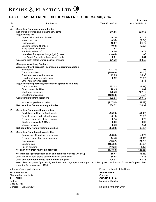### **CASH FLOW STATEMENT FOR THE YEAR ENDED 31ST MARCH, 2014**

|          |                                                                                                                              |                   | ₹ in Lacs         |
|----------|------------------------------------------------------------------------------------------------------------------------------|-------------------|-------------------|
| Sr<br>no | <b>Particulars</b>                                                                                                           | Year 2013-2014    | Year 2012-2013    |
| А.       | Cash flow from operating activities                                                                                          |                   |                   |
|          | Net profit before tax and extraordinary items                                                                                | 611.55            | 520.68            |
|          | Adjustments for:                                                                                                             |                   |                   |
|          | Depreciation and amortisation                                                                                                | 44.20             | 47.13             |
|          | Interest income                                                                                                              | (6.55)            | (2.54)            |
|          | Finance cost                                                                                                                 | 13.57             | 24.79             |
|          | Dividend income (₹ 315/-)                                                                                                    | (0.00)            | (0.00)            |
|          | Fixed assets written off                                                                                                     | 2.83              |                   |
|          | Bad Debt written off                                                                                                         | 6.56              | 6.73              |
|          | Unrealised Foreign exchange (gain) / loss                                                                                    | (10.48)           | 1.08              |
|          | Loss / (profit) on sale of fixed assets (net)                                                                                | 0.01              | 0.64              |
|          | Operating profit before working capital changes                                                                              | 661.70            | 598.52            |
|          | <b>Changes in working Capital:</b>                                                                                           |                   |                   |
|          | Adjustment for (increase) / decrease in operating assets :<br>Inventories                                                    |                   |                   |
|          | Trade receivables                                                                                                            | (71.77)           | 21.03<br>(257.74) |
|          | Short term loans and advances                                                                                                | (256.68)<br>13.05 | 35.95             |
|          | Long term loans and advances                                                                                                 | 0.32              | (0.98)            |
|          | Other non-current assets                                                                                                     |                   | 2.74              |
|          | Adjustment for (increase)/decrease in operating liabilites :                                                                 |                   |                   |
|          | Trade payables                                                                                                               | 131.73            | (124.27)          |
|          | Other current liabilities                                                                                                    | 20.45             | 0.64              |
|          | Short term provisions                                                                                                        | 125.76            | 127.12            |
|          | Long term provisions                                                                                                         | (122.50)          | (112.52)          |
|          | Cash generated from operations                                                                                               | 502.04            | 290.49            |
|          | Income tax paid net of refund                                                                                                | (217.52)          | (154.19)          |
|          | Net cash flow from operating activities                                                                                      | 284.52            | 136.31            |
| В.       | Cash flow from investing activities                                                                                          |                   |                   |
|          | Capital expenditure on fixed assets                                                                                          | (53.24)           | (41.43)           |
|          | Tangible assets under development                                                                                            | (6.15)            | (28.69)           |
|          | Proceeds from sale of fixed assets                                                                                           | 0.14              | 0.76              |
|          | Dividend received (₹315/-)                                                                                                   | 0.00              | 0.00              |
|          | Interest received                                                                                                            | 3.96              | 2.54              |
|          | Net cash flow from investing activities                                                                                      | (55.29)           | (66.82)           |
| C.       | Cash flow from financing activities                                                                                          |                   |                   |
|          | Repayment of long term borrowings                                                                                            | (55.65)           | 46.79             |
|          | Proceeds from short term borrowings                                                                                          | 14.48             | (44.44)           |
|          | Finance cost                                                                                                                 | (13.57)           | (24.79)           |
|          | Dividend paid                                                                                                                | (105.82)          | (88.92)           |
|          | Tax on dividend                                                                                                              | (18.21)           | (14.49)           |
|          | Net cash flow from financing activities                                                                                      | (178.80)          | (125.85)          |
|          | Net increase / (decrease) in cash and cash equivalents (A+B+C)                                                               | 50.43             | (56.36)           |
|          | Cash and cash equivalents at the beginning of the year                                                                       | 54.48             | 110.85            |
|          | Cash and cash equivalents at the end of the year                                                                             | 104.93            | 54.48             |
|          | Note : Previous years / periods figures have been regrouped/rearranged in confirmity with the Revised Schedule VI prescribed |                   |                   |

under the Companies Act, 1956.

**For SHAH & CO.**  Chartered Accountants **A. H. SHAH** Partner M No 103750

In terms of our report attached For and on behalf of the Board **ABHAY VAKIL** Chairman **GOBIND LULLA** Managing Director

Mumbai : 19th May 2014 Mumbai : 19th May 2014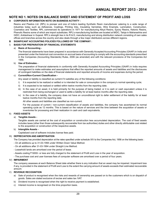### **NOTE NO 1. NOTES ON BALANCE SHEET AND STATEMENT OF PROFIT AND LOSS**

### **A CORPORATE INFORMATION NOTE ON BUSINESS ACTIVITY :**

Resins and Plastics Ltd. (RPL) is pioneer and one of India's leading Synthetic Resin manufacturer catering to a wide range of industries today such as Adhesives, Coatings, Printing Inks, Insulating Varnishes, Wire Enamels, Lamination, Construction, Cosmetics and Textiles. RPL commenced its operations in 1971 for manufacturing Alkyd Resins, Epoxy Resins, Ketonic Resins, Phenolic Resins some of which are import substitutes. RPL's manufacturing facilities are located at MIDC, Taloja in Maharashtra and GIDC, Ankleshwar in Gujarat. RPL's strength lies in its R & D, manufacturing and strong distribution network consisting of own sales offices and branches across the country and also deals through a few major distributors across different regions.

### **B SIGNIFICANT ACCOUNTING POLICIES FOLLOWED BY THE COMPANY :**

### I) **BASIS FOR PREPARATION OF FINANCIAL STATEMENTS**

### a) **Basis of Accounting -**

The financial statements have been prepared in accordance with Generally Accepted Accounting Principles (GAAP) in India and presented under the historical cost convention on accrual basis of accounting to comply with the accounting standards prescribed in the Companies (Accounting Standards) Rules, 2006 (as amended) and with the relevant provisions of the Companies Act 1956.

### b) **Use of Estimates -**

The preparation of financial statements in conformity with Generally Accepted Accounting Principles (GAAP) in India requires management to make estimates and assumptions that effect the reported amounts of assets and liabilities and the disclosures of contingent liabilities on the date of financial statements and reported amounts of income and expenses during the period.

### c) **Current/Non-Current Classification -**

Any asset or liability is classified as current if it satisfies any of the following conditions:

- i) It is expected to be realized or settled or is intended for sale or consumption in the company's normal operating cycle;
- ii) It is expected to be realized or settled within twelve months from the reporting date;
- iii) In the case of an asset, it is held primarily for the purpose of being traded; or it is cash or cash equivalent unless it is restricted from being exchanged or used to settle a liability for at least twelve months after the reporting date;
- iv) In the case of a liability, the company does not have an unconditional right to defer settlement of the liability for at least twelve months from the reporting date.

All other assets and liabilities are classified as non-current.

For the purpose of current / non-current classification of assets and liabilities, the company has ascertained its normal operating cycle as 12 months. This is based on the nature of services and the time between the acquisition of assets or inventories for processing and their realization in cash and cash equivalents.

### II) **FIXED ASSETS**

### a) **Tangible Assets -**

Tangible assets are carried at the cost of acquisition or construction less accumulated depreciation. The cost of fixed assets includes taxes (other than those subsequently recoverable from tax authorities) duties and other directly attributable cost related to the acquisition or construction of the respective assets.

### b) **Intangible Assets -**

Capitalized cost of software includes license fees paid.

### III) **DEPRECIATION AND AMORTISATION**

The Company has provided depreciation at the rates specified under schedule XIV to the Companies Act, 1956 on the following basis :

- On all additions up to 31-03-1994 under Written Down Value Method.
- On all additions after 31-03-1994 under Straight Line Method.
- Leasehold lands are amortised over the period of lease.
- Assets costing ₹ 5000/- or less are fully charged to the statement of Profit and Loss in the year of acquisition.
- The purchase cost and user licenses fees of computer software are amortised over a period of four years.

### IV) **IMPAIRMENT**

The company assesses at each Balance Sheet date whether there is any indication that an asset may be impaired. Impairment loss if any, is provided in the statement of Profit and Loss to the extent the carrying amount of assets exceeds their estimated recoverable amount.

### V) **REVENUE RECOGNITION**

- a) Sale of product is recognised when the risks and rewards of ownership are passed on to the customers which is on dispatch of goods. Sales are stated exclusive of excise and sales tax /VAT.
- b) Dividend income is recognised when the right to receive payment is established.
- c) Interest income is recognised on the time proportion basis.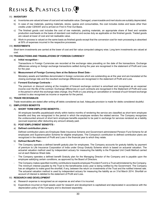### VI) **INVENTORY**

- a) Inventories are valued at lower of cost and net realisable value. Damaged, unserviceable and inert stocks are suitably depreciated.
- b) In case of raw materials, packing materials, stores, spares and consumables, the cost includes duties and taxes other than credits under CENVAT and is arrived on First In First Out Basis.
- c) The finished goods cost includes the cost of raw materials, packing materials, an appropriate share of fixed and variable production overheads on the basis of standard cost method and excise duty as applicable on the finished goods. Traded goods are valued at lower of cost and net realisable value.
- d) Work-in-process is valued on the same basis as finished goods except that the conversion cost for resin processing is absorbed at 50% of expenses incurred in the respective processes.

### VII) **INVESTMENTS**

Short term investments are carried at the lower of cost and fair value computed category wise. Long term investments are valued at cost.

### VIII) **TRANSACTIONS AND TRANSLATIONS OF FOREIGN CURRENCY**

### a) **Initial recognition -**

Transactions in Foreign Currencies are recorded at the exchange rates prevailing on the date of the transactions. Exchange differences arising on foreign exchange transactions settled during the year are recognised in the statement of Profit and Loss for the year.

### b) **Measurement of Foreign Currency Item at the Balance Sheet Date -**

Monetary assets and liabilities denominated in foreign currencies which are outstanding as at the year end are translated at the closing exchange rate and the resultant exchange differences are recognised in the statement of Profit and Loss.

### c) **Forward Exchange Contracts -**

The premium or discount arising at the inception of forward exchange contract is amortised and recognised as an expense/ income over the life of the contract. Exchange differences on such contracts are recognised in the Statement of Profit and Loss in the period in which the exchange rates change. Any Profit or Loss arising on cancellation or renewal of such forward exchange contract is also recognised as income or expense for the period.

### IX) **TRADE RECEIVABLES**

Trade receivables are stated after writing off debts considered as bad. Adequate provision is made for debts considered doubtful.

### X) **EMPLOYEES BENEFITS**

### A) **SHORT TERM EMPLOYEE BENEFITS -**

All employee benefits payable/paid wholly within twelve months of rendering the service are classified as short term employee benefits and they are recognized in the period in which the employee renders the related service. The Company recognizes the undiscounted amount of short term employee benefits expected to be paid in exchange for services rendered as a liability (accrued expense) after deducting any amount already paid.

### B) **POST-EMPLOYMENT BENEFITS -**

### a) **Defined contribution plans -**

Defined contribution plans are Employee State Insurance Scheme and Government administered Pension Fund Scheme for all employees and Superannuation Scheme for eligible employees. The Company's contribution to defined contribution plans are recognized in the statement of Profit and Loss in the financial year to which they relate.

### b) **Defined Benefit Plan -**

- The Company operates a defined benefit gratuity plan for employees. The Company accounts for gratuity liability by payment of premium to Life Insurance Corporation of India under Group Gratuity Scheme which is based on actuarial valuation. The actuarial valuation method used by independent actuary for measuring the liability is the Projected Unit Credit Method carried out at each Balance Sheet date.
- The Company operates a defined benefit Gratuity plan for the Managing Director of the Company and is payable upon the employee satisfying certain conditions, as approved by the Board of Directors.
- The Company makes specified monthly contributions towards employee Provident Fund to a Trust administered by the Company. The minimum interest payable by the Trust to the beneficiaries every year is being notified by the Government. The Company has an obligation to make good the shortfall, if any, between the return on investments of the Trust and the notified interest rate. The actuarial valuation method is used by independent actuary for measuring the liability as on 31st March 2014. Shortfall on account of interest is debited to the statement of Profit and Loss.

### XI) **RESEARCH AND DEVELOPMENT**

- a) Research expense is recognised as an expense as and when it is incurred.
- b) Expenditure incurred on fixed assets used for research and development is capitalised and depreciated in accordance with the depreciation policy of the Company and is disclosed separately.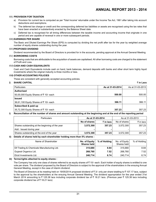### XII) **PROVISION FOR TAXATION**

- a) Provision for current tax is computed as per 'Total Income' returnable under the Income Tax Act, 1961 after taking into account deductions and exemptions.
- b) The deferred tax charge or credit and the corresponding deferred tax liabilities or assets are recognised using the tax rates that have been enacted or substantively enacted by the Balance Sheet date.
- c) Deferred tax is recognised for all timing differences between the taxable income and accounting income that originate in one period and are capable of reversal in one or more subsequent periods.

#### XIII)**EARNINGS PER SHARE**

The Basic and Diluted Earnings Per Share (EPS) is computed by dividing the net profit after tax for the year by weighted average number of equity shares outstanding during the year.

#### XIV)**PROPOSED DIVIDEND**

Dividend recommended by the Board of Directors is provided for in the accounts, pending approval at the Annual General Meeting.

#### XV) **BORROWING COSTS**

Borrowing costs that are attributable to the acquisition of assets are capitalised. All other borrowing costs are charged to the statement of Profit and Loss.

#### XVI) **CASH AND CASH EQUIVALENTS**

Cash and Cash Equivalents include cash on hand, bank balances, demand deposits with banks and other short term highly liquid investments where the original maturity is three months or less.

### XVII) **OTHER ACCOUNTING POLICIES**

These are consistent with generally accepted accounting policies.

### **2. SHARE CAPITAL** ` **in Lacs**

| <b>Particulars</b>                    | As at 31-03-2014 | As at 31-03-2013 |
|---------------------------------------|------------------|------------------|
| <b>Authorised</b>                     |                  |                  |
| 50,00,000 Equity Shares of ₹10/- each | 500.00           | 500.00           |
| <b>Issued</b>                         |                  |                  |
| 36,61,100 Equity Shares of ₹10/- each | 366.11           | 366.11           |
| Subscribed & paid up                  |                  |                  |
| 35,72,300 Equity Shares of ₹10/- each | 357.23           | 357.23           |

### **i) Reconciliation of the number of shares and amount outstanding at the beginning and at the end of the reporting period**

| <b>Particulars</b>                              | As at 31-03-2014 |                      |              | As at 31-03-2013 |
|-------------------------------------------------|------------------|----------------------|--------------|------------------|
|                                                 | No of shares     | $\bar{\tau}$ in lacs | No of shares | ₹ in lacs        |
| Shares outstanding at the beginning of the year | 3,572,300        | 357.23               | 3.572.300    | 357.23           |
| Add: Issued during year                         | -                |                      |              |                  |
| Shares outstanding at the end of the year       | 3.572.300        | 357.23               | 3.572.300    | 357.23           |

### **ii) Details of shares held by each shareholder holding more than 5% shares :**

| Name of Shareholder                        | No. of Equity<br><b>Shares held</b> | % of Holding | No. of Equity<br>Shares held | % of Holding |
|--------------------------------------------|-------------------------------------|--------------|------------------------------|--------------|
| Elf Trading & Chemicals Manufacturing Ltd. | 315,680                             | 8.84         | 315,680                      | 8.84         |
| Gujarat Organics Ltd.                      | 268.760                             | 7.52         | 268,760                      | 7.52         |
| Elcid Investments Ltd.                     | 240.714                             | 6.74         | 240.714                      | 6.74         |

#### **iii) Terms/rights attached to equity shares :**

The Company has only one class of shares referred to as equity shares of  $\bar{\tau}$  10/- each. Each holder of equity shares is entitled to one vote per share. The dividend proposed by the Board of Directors is subject to the approval of the shareholders in the ensuing Annual General Meeting, except in the case of interim dividend.

The Board of Directors at its meeting held on 19/05/2014 proposed dividend of  $\bar{\tau}$  3/- only per share totalling to  $\bar{\tau}$  107.17 lacs, subject to the approval by the shareholders at the ensuing Annual General Meeting. The dividend appropriation for the year ended 31st March 2014 amounting to  $\bar{\tau}$  125.38 lacs including corporate dividend tax of  $\bar{\tau}$  18.21 lacs. (Previous year  $\bar{\tau}$  125.38 lacs including corporate dividend tax of  $\bar{\tau}$  18.21 lacs)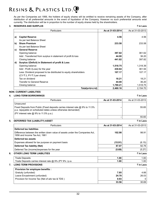As per the Companies act 1956, the holders of equity shares will be entitled to receive remaining assets of the Company, after distribution of all preferential amounts in the event of liquidation of the Company. However no such preferential amounts exist currently. The distribution will be in proportion to the number of equity shares held by the shareholders.

### **3. RESERVES AND SURPLUS** ` **in Lacs**

|              | <b>Particulars</b>                                               | As at 31-03-2014 | As at 31-03-2013 |
|--------------|------------------------------------------------------------------|------------------|------------------|
|              |                                                                  |                  |                  |
| a)           | <b>Capital Reserve</b>                                           | 4.56             | 4.56             |
|              | As per last Balance Sheet                                        |                  |                  |
| $\mathbf{b}$ | <b>Share Premium</b>                                             | 233.58           | 233.58           |
|              | As per last Balance Sheet                                        |                  |                  |
| C)           | <b>General Reserve</b>                                           |                  |                  |
|              | Opening balance                                                  | 397.82           | 361.62           |
|              | Add: Transferred from surplus in statement of profit & loss      | 44.00            | 36.20            |
|              | Closing balance                                                  | 441.82           | 397.82           |
| d)           | Surplus /(Deficit) in Statement of profit & Loss                 |                  |                  |
|              | Opening balance                                                  | 1,518.75         | 1,318.39         |
|              | Add: Profit /(Loss) for the year                                 | 430.84           | 361.94           |
|              | Less: Dividend proposed to be distributed to equity shareholders | 107.17           | 107.17           |
|              | (CY ₹ 3, PY ₹ 3 per share)                                       |                  |                  |
|              | Tax on dividend                                                  | 18.21            | 18.21            |
|              | <b>Transfer to General Reserve</b>                               | 44.00            | 36.20            |
|              | Closing balance                                                  | 1,780.21         | 1,518.75         |
|              | Total(a+b+c+d)                                                   | 2,460.16         | 2,154.70         |

### **NON- CURRENT LIABILITIES**

### **4. LONG-TERM BORROWINGS** ` **in Lacs**

| <b>Particulars</b>                                                                                                                             | As at 31-03-2014 | As at 31-03-2013 |
|------------------------------------------------------------------------------------------------------------------------------------------------|------------------|------------------|
| Unsecured                                                                                                                                      |                  |                  |
| Fixed Deposits from Public (Fixed deposits carries interest rate @ 9% to 11.5%<br>p.a. repayable on scheduled dates unless otherwise demanded) |                  | 55.65            |
| (PY interest rate $@$ 9% to 11.5% p.a.)                                                                                                        |                  |                  |
|                                                                                                                                                |                  | 55.65            |
|                                                                                                                                                |                  |                  |

### **5. DEFERRED TAX (LIABILITY) ASSET** ` **in Lacs**

| <b>Particulars</b>                                                                                            | As at 31-03-2014 | As at 31-03-2013 |
|---------------------------------------------------------------------------------------------------------------|------------------|------------------|
| <b>Deferred tax liabilities</b>                                                                               |                  |                  |
| Difference between the written down value of assets under the Companies Act.<br>1956 and Income Tax Act, 1961 | 102.98           | 98.91            |
| Deferred tax assets                                                                                           |                  |                  |
| Expenses allowed for tax purpose on payment basis                                                             | (15.91)          | (6.15)           |
| Deferred Tax liability (Net)                                                                                  | 87.07            | 92.76            |
| Deferred Tax (income)/expenses for the year                                                                   | (5.69)           | (5.27)           |
| <b>OTHER LONG TERM LIABILITIES</b>                                                                            |                  | ₹ in Lacs        |
| <b>Trade Deposits</b>                                                                                         | 1.00             | 1.00             |
| Trade Deposits carries interest rate $\omega$ 9% (PY 9%) p.a.                                                 | 1.00             | 1.00             |
| <b>LONG TERM PROVISIONS</b>                                                                                   |                  | ₹ in Lacs        |
| Provision for employee benefits :                                                                             |                  |                  |
| Gratuity (unfunded)                                                                                           | 7.85             | 4.66             |
| Leave Encashment (unfunded)                                                                                   | 24.78            | 26.03            |
| Provision for Income Tax (Net of adv tax & TDS)                                                               | 0.93             | 0                |
|                                                                                                               | 33.56            | 30.69            |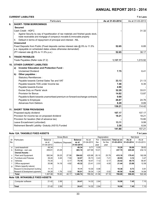### **CURRENT LIABILITIES** ` **in Lacs**

|     | Particulars                                                                                                                                                     | As at 31-03-2014 | As at 31-03-2013 |
|-----|-----------------------------------------------------------------------------------------------------------------------------------------------------------------|------------------|------------------|
| 8.  | <b>SHORT- TERM BORROWINGS</b>                                                                                                                                   |                  |                  |
|     | <b>Secured</b>                                                                                                                                                  |                  |                  |
|     | Cash Credit - HDFC                                                                                                                                              |                  | 31.32            |
|     | Against Security by way of hypothecation of raw materials and finished goods stock,<br>trade receivables and mortgage of company's movable & immovable property |                  |                  |
|     | Default in terms of repayment of principal and interest - NIL<br>Ш.                                                                                             |                  |                  |
|     | <b>Unsecured</b>                                                                                                                                                |                  |                  |
|     | Fixed Deposits from Public (Fixed deposits carries interest rate @ 9% to 11.5%<br>p.a. repayable on scheduled dates unless otherwise demanded)                  | 52.65            | 6.85             |
|     | (PY interest rate @ 9% to 11.5% p.a.)                                                                                                                           | 52.65            | 38.17            |
| 9.  | <b>TRADE PAYABLES</b>                                                                                                                                           |                  |                  |
|     | Trade Payables (Refer note 27.2)                                                                                                                                | 1,137.17         | 1,015.92         |
| 10. | <b>OTHER CURRENT LIABILITIES</b>                                                                                                                                |                  |                  |
|     | <b>Investor Education and Protection Fund:</b><br>a)                                                                                                            |                  |                  |
|     | <b>Unclaimed Dividend</b>                                                                                                                                       | 7.75             | 6.41             |
|     | Other payables :<br>b)                                                                                                                                          |                  |                  |
|     | <b>Statutory Remittances:</b>                                                                                                                                   |                  |                  |
|     | Payable towards Central Sales Tax and VAT                                                                                                                       | 33.13            | 21.13            |
|     | Payable towards TDS under Income tax                                                                                                                            | 7.48             | 6.35             |
|     | Payable towards Excise                                                                                                                                          | 4.90             |                  |
|     | Excise Duty on Plants' stock                                                                                                                                    | 32.29            | 33.01            |
|     | <b>Provision for Bonus</b>                                                                                                                                      | 14.82            | 13.87            |
|     | Payable to Bank towards unamortised premium on forward exchange contracts                                                                                       | 0.69             |                  |
|     | Payable to Employee                                                                                                                                             | 26.87            | 24.76            |
|     | <b>Advances from Debtors</b>                                                                                                                                    | 8.29             | 8.89             |
|     |                                                                                                                                                                 | 136.21           | 114.42           |
| 11. | <b>SHORT TERM PROVISIONS</b>                                                                                                                                    |                  |                  |
|     | Proposed equity dividend                                                                                                                                        | 107.17           | 107.17           |
|     | Provision for income tax on proposed dividend                                                                                                                   | 18.21            | 18.21            |
|     | Provision for taxation (Net of advance tax)                                                                                                                     |                  | 15.80            |
|     | Leave Encashment (unfunded)                                                                                                                                     | 13.11            | 9.99             |
|     | Retirement Benefit Laibility- Gratuity (AS15) Funded                                                                                                            | 3.30             | 6.04             |
|     |                                                                                                                                                                 | 141.80           | 157.21           |

### **Note 12A. TANGIBLE FIXED ASSETS** ` **in Lacs**

|     |                                    | Gross Block   |               |                          |                | Depreciation |                               |           |                | Net block  |                          |
|-----|------------------------------------|---------------|---------------|--------------------------|----------------|--------------|-------------------------------|-----------|----------------|------------|--------------------------|
| Sr  | Particulars                        | Balance       |               |                          | <b>Balance</b> | As at        | For                           | Deduction | Total as on    | As at      | As at                    |
| No. |                                    | as at         | Additions     | Disposals                | as at          | 01-04-2013   | the                           | for the   | 31-03-2014     | 31-03-2014 | 31-03-2013               |
|     |                                    | 01-04-2013    |               |                          | 31-03-2014     |              | vear                          | year      |                |            |                          |
| a   | Land-leasehold                     | 49.34         |               |                          | 49.34          | 9.71         | 0.55                          |           | 10.26          | 39.08      | 39.63                    |
| b   | Buildings - own use                | 459.81        | 23.29         | $\overline{\phantom{0}}$ | 483.10         | 227.69       | 10.01                         |           | 237.70         | 245.40     | 232.12                   |
|     | <b>Owned Assets:</b>               |               |               |                          |                |              |                               |           |                |            |                          |
| c   | Plant and Equipment                | 582.94        | 39.25         | 27.58                    | 594.62         | 420.88       | 20.10                         | 25.79     | 415.18         | 179.43     | 162.06                   |
| d   | <b>Furniture and Fixtures</b>      | 39.20         | 0.45          | 7.59                     | 32.07          | 35.73        | 0.43                          | 7.21      | 28.95          | 3.12       | 3.47                     |
| e   | Vehicles                           | 75.34         |               | 0.17                     | 75.18          | 18.47        | 7.12                          | 0.17      | 25.42          | 49.75      | 56.87                    |
|     | Office equipment                   | 35.96         | 14.18         | 4.82                     | 45.32          | 23.41        | 2.03                          | 4.00      | 21.44          | 23.88      | 12.56                    |
| g   | Others (specify nature)            |               |               |                          |                |              |                               |           |                |            |                          |
|     | Research & Development building    | 11.11         |               |                          | 11.11          | 10.30        | 0.08                          |           | 10.38          | 0.73       | 0.81                     |
|     | Research & Development quipments   | 54.28         | 1.76          | 0.02                     | 56.01          | 39.34        | 1.24                          | 0.02      | 40.56          | 15.46      | 14.94                    |
|     | <b>Total</b>                       | 1.307.98      | 78.93         | 40.17                    | 1.346.74       | 785.52       | 41.56                         | 37.19     | 789.89         | 556.85     | 522.46                   |
|     | Note 12B. INTANGIBLE FIXED ASSETS  |               |               |                          |                |              |                               |           |                |            |                          |
|     | $\sim$ $\sim$ $\sim$ $\sim$ $\sim$ | $\sim$ $\sim$ | $\sim$ $\sim$ |                          | .              | $\sqrt{2}$   | $\sim$ $\sim$ $\cdot$ $\cdot$ |           | $\overline{1}$ | - -- 1     | $\overline{\phantom{a}}$ |

| Computer software | $\angle 1.42$ <sup>1</sup> | 2.99 | 24.41 | 14.32      | 0.01<br>2.64 | 16.96 | - --<br>7.45                     | - -<br>. |
|-------------------|----------------------------|------|-------|------------|--------------|-------|----------------------------------|----------|
| <b>Total</b>      | $\angle 1.42$              | 2.99 | 24.41 | 4.32<br>14 | 2.64<br>____ | 16.96 | - --<br>л.<br>. . <del>.</del> . | .        |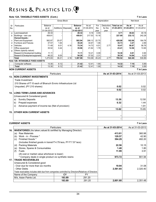### **Note 12A. TANGIBLE FIXED ASSETS (Cont.)** ` **in Lacs**

|     |                                                             |            | Gross Block        |                     |                |            |       | Depreciation |                    |            | Net block        |
|-----|-------------------------------------------------------------|------------|--------------------|---------------------|----------------|------------|-------|--------------|--------------------|------------|------------------|
| Sr  | Particulars                                                 | Balance    |                    |                     | <b>Balance</b> | As at      | For   | Deduction    | <b>Total as on</b> | As at      | As at            |
| No. |                                                             | as at      |                    | Additions Disposals | as at          | 01-04-2012 | the   | for the      | 31-03-2013         | 31-03-2013 | 31-03-2012       |
|     |                                                             | 01-04-2012 |                    |                     | 31-03-2013     |            | vear  | year         |                    |            |                  |
| a   | Land-leasehold                                              | 49.34      |                    |                     | 49.34          | 9.16       | 0.55  |              | 9.71               | 39.63      | 40.18            |
| b   | Buildings - own use                                         | 459.81     |                    |                     | 459.81         | 217.53     | 10.16 |              | 227.69             | 232.12     | 242.28           |
|     | <b>Owned Assets:</b>                                        |            |                    |                     |                |            |       |              |                    |            |                  |
| c   | Plant and Equipment                                         | 562.87     | 20.07              |                     | 582.94         | 398.13     | 22.75 |              | 420.88             | 162.06     | 164.76           |
| d   | <b>Furniture and Fixtures</b>                               | 37.57      | 1.64               |                     | 39.20          | 34.67      | 1.06  |              | 35.73              | 3.47       | 2.89             |
| e   | Vehicles                                                    | 71.49      | 8.01               | 4.16                | 75.34          | 14.73      | 6.51  | 2.77         | 18.47              | 56.87      | 56.76            |
| f   | Office equipment                                            | 35.52      | 0.44               |                     | 35.96          | 21.62      | 1.79  |              | 23.41              | 12.56      | 13.90            |
| q   | Others (specify nature)                                     |            |                    |                     |                |            |       |              |                    |            |                  |
|     | Research & Development building                             | 11.11      |                    |                     | 11.11          | 10.21      | 0.09  |              | 10.30              | 0.81       | 0.90             |
|     | Research & Development equipments                           | 46.22      | 8.05               |                     | 54.28          | 37.02      | 2.31  |              | 39.34              | 14.94      | 9.20             |
|     | <b>Total</b>                                                | 1,273.93   | 38.21              | 4.16                | 1,307.98       | 743.06     | 45.23 | 2.77         | 785.52             | 522.46     | 530.86           |
|     | Note 12B. INTANGIBLE FIXED ASSETS                           |            |                    |                     |                |            |       |              |                    |            |                  |
|     | Computer software                                           | 13.30      | 8.12               |                     | 21.42          | 12.41      | 1.90  |              | 14.32              | 7.10       | 0.89             |
|     | <b>Total</b>                                                | 13.30      | 8.12               |                     | 21.42          | 12.41      | 1.90  |              | 14.32              | 7.10       | 0.89             |
|     | <b>NON CURRENT ASSETS</b>                                   |            |                    |                     |                |            |       |              |                    |            | ₹ in Lacs        |
|     |                                                             |            | <b>Particulars</b> |                     |                |            |       |              | As at 31-03-2014   |            | As at 31-03-2013 |
| 13. | <b>NON-CURRENT INVESTMENTS</b>                              |            |                    |                     |                |            |       |              |                    |            |                  |
|     | <b>Trade Investment</b>                                     |            |                    |                     |                |            |       |              |                    |            |                  |
|     | 210 Shares of ₹10 each of Bharuch Enviro Infrastructure Ltd |            |                    |                     |                |            |       |              |                    |            |                  |
|     | Unquoted, (PY 210 shares)                                   |            |                    |                     |                |            |       |              | 0.02               |            | 0.02             |
|     |                                                             |            |                    |                     |                |            |       |              | 0.02               |            | 0.02             |
| 14. | <b>LONG TERM LOANS AND ADVANCES</b>                         |            |                    |                     |                |            |       |              |                    |            |                  |
|     | (Unsecured & Considered good)                               |            |                    |                     |                |            |       |              |                    |            |                  |
|     | <b>Sundry Deposits</b><br>a)                                |            |                    |                     |                |            |       |              | 13.30              |            | 12.50            |
|     | b)<br>Prepaid expenses                                      |            |                    |                     |                |            |       |              | 0.32               |            | 1.44             |
|     | Advance payment of income tax (Net of provision)<br>C)      |            |                    |                     |                |            |       |              |                    |            | 1.91             |
|     |                                                             |            |                    |                     |                |            |       |              | 13.62              |            | 15.85            |
| 15. | <b>OTHER NON CURRENT ASSETS</b>                             |            |                    |                     |                |            |       |              |                    |            |                  |
|     |                                                             |            |                    |                     |                |            |       |              |                    |            |                  |
|     |                                                             |            |                    |                     |                |            |       |              | ٠                  |            |                  |

### **CURRENT ASSETS** ` **in Lacs**

|      |                                                                                                   | Particulars |        | As at 31-03-2014 | As at 31-03-2013 |
|------|---------------------------------------------------------------------------------------------------|-------------|--------|------------------|------------------|
| 16.1 | <b>INVENTORIES</b> (As taken, valued & certified by Managing Director)                            |             |        |                  |                  |
|      | Raw Materials<br>(a)                                                                              |             |        | 413.81           | 360.98           |
|      | Work - in - Process *<br>(b)                                                                      | 129.57      | 42.90  |                  |                  |
|      | Finished Goods *<br>(C)                                                                           |             |        | 394.29           | 482.20           |
|      | (Includes finished goods in transit ₹4.79 lacs, PY ₹7.57 lacs)                                    |             |        |                  |                  |
|      | <b>Packing Materials</b><br>(d)                                                                   |             |        | 22.56            | 10.15            |
|      | Stores, Spares & Consumables<br>(e)                                                               | 1.48        | 1.80   |                  |                  |
|      | (f)<br>Fuels                                                                                      | 11.99       | 3.91   |                  |                  |
|      | (At cost or market value whichever is lower)                                                      |             |        |                  |                  |
|      | * Company deals in single product viz synthetic resins                                            | 973.72      | 901.94 |                  |                  |
| 17.  | <b>TRADE RECEIVEBLES</b>                                                                          |             |        |                  |                  |
|      | Unsecured & Considered good                                                                       |             |        |                  |                  |
|      | - Over due for more than six months                                                               |             |        | 19.94            | 31.08            |
|      | - Other Debts                                                                                     |             |        | 2,581.65         | 2,320.40         |
|      | Trade receivables includes debt due from companies controlled by Directors/Relatives of Directors |             |        |                  |                  |
|      | Name of the Company                                                                               | СY          | PY     |                  |                  |
|      | M/s. Asian Paints Ltd.                                                                            | 183.89      | 291.20 |                  |                  |
|      |                                                                                                   | 183.89      | 291.20 | 2,601.60         | 2,351.48         |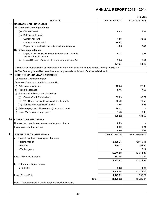|    |                                                                                                       |                  | ₹ in Lacs        |
|----|-------------------------------------------------------------------------------------------------------|------------------|------------------|
|    | Particulars                                                                                           | As at 31-03-2014 | As at 31-03-2013 |
|    | <b>CASH AND BANK BALANCES</b>                                                                         |                  |                  |
|    | A) Cash and Cash Equivalents                                                                          |                  |                  |
|    | (a) Cash on hand                                                                                      | 0.83             | 1.07             |
|    | (b) Balance with banks                                                                                |                  |                  |
|    | <b>Current Account</b>                                                                                | 4.58             | 33.56            |
|    | Cash Credit Account #                                                                                 | 86.53            |                  |
|    | Deposit with bank with maturity less than 3 months                                                    | 1.05             | 5.47             |
| B) | <b>Other bank balances</b>                                                                            |                  |                  |
|    | Deposits with Banks with maturity more than 3 months<br>i)<br>but less than 12 months                 | 4.18             | 7.97             |
|    | Unpaid Dividend Account - In earmarked accounts ##<br>ii)                                             | 7.75             | 6.41             |
|    |                                                                                                       | 104.93           | 54.48            |
|    | # Secured by hypothecation of inventories and trade receivable and carries interest rate @ 12.25% p.a |                  |                  |
|    | ## The Company can utilise these balances only towards settlement of unclaimed dividend.              |                  |                  |
|    | <b>SHORT TERM LOANS AND ADVANCES</b>                                                                  |                  |                  |
|    | (Unsecured & considered good)                                                                         |                  |                  |
|    | Advances/Claim recoverable in cash or kind                                                            |                  |                  |
|    | a) Advances to vendors                                                                                | 19.75            | 22.38            |
|    | b) Prepaid expenses                                                                                   | 6.16             | 7.55             |
| C) | <b>Balance with Government Authorities</b>                                                            |                  |                  |
|    | <b>Cenvat Credit Receivables</b><br>(i)                                                               | 33.09            | 30.72            |
|    | (ii) VAT Credit Receivables/Sales tax refundable                                                      | 59.49            | 70.55            |
|    | (iii) Service tax Credit Receivables                                                                  | 1.46             | 3.21             |
|    | d) Advance payment of income tax (Net of provision)                                                   | 16.57            |                  |
|    | e) Loans/Advances to employees                                                                        | 1.48             | 0.08             |
|    |                                                                                                       | 138.02           | 134.50           |
|    | <b>OTHER CURRENT ASSETS</b>                                                                           |                  |                  |
|    | Unamortised premium on forward exchange contracts                                                     | 0.69             |                  |
|    | Income accrued but not due                                                                            | 3.80             | 1.21             |
|    |                                                                                                       | 4.49             | 1.21             |
|    | <b>REVENUE FROM OPERATIONS</b>                                                                        | Year 2013-2014   | Year 2012-2013   |
| a) | Sale of Synthetic Resins (net of returns)                                                             |                  |                  |
|    | - Home market                                                                                         | 13,065.77        | 12,119.41        |
|    | - Exports                                                                                             | 146.11           | 194.80           |
|    | - Traded goods                                                                                        |                  | 0.14             |
|    |                                                                                                       | 13,211.88        | 12,314.36        |
|    | Less: Discounts & rebate                                                                              | 273.96           | 240.02           |
|    |                                                                                                       | 12,937.92        | 12,074.34        |
| b) | Other operating revenues :                                                                            |                  |                  |
|    | Scrap sale                                                                                            | 6.52             | 4.94             |
|    |                                                                                                       | 12,944.44        | 12,079.28        |
|    |                                                                                                       |                  | 1,350.22         |
|    | Less: Excise Duty                                                                                     | 1,447.82         |                  |
|    | <b>Total</b>                                                                                          | 11,496.62        | 10,729.07        |
|    | Note: Company deals in single product viz synthetic resins                                            |                  |                  |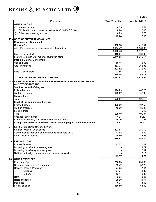|      | Particulars                                                                             | Year 2013-2014  | Year 2012-2013   |
|------|-----------------------------------------------------------------------------------------|-----------------|------------------|
| 22.  | <b>OTHER INCOME</b>                                                                     |                 |                  |
|      | Interest income<br>a)                                                                   | 6.55            | 2.54             |
|      | Dividend from non current investments (CY & PY ₹ 315/-)<br>b)                           | 0.00            | 0.00             |
|      | Other non operating income<br>C)                                                        | 6.09            | 3.75             |
|      |                                                                                         | 12.64           | 6.30             |
|      | 23.A COST OF MATERIAL CONSUMED                                                          |                 |                  |
|      | <b>Raw Materials Consumed</b>                                                           |                 |                  |
|      | <b>Opening Stock</b>                                                                    | 360.98          | 415.51           |
|      | Add: Purchases (net of discounts/sale of materials)                                     | 9,164.47        | 8,561.65         |
|      |                                                                                         | 9,525.46        | 8,977.16         |
|      | Less: Closing stock                                                                     | 413.81          | 360.98           |
|      | (Refer note no 27.5 for major consumption items)                                        | 9,111.65        | 8,616.17         |
|      | <b>Packing Material Consumed</b>                                                        |                 |                  |
|      | <b>Opening Stock</b><br>Add: Purchases                                                  | 10.15<br>283.37 | 6.09             |
|      |                                                                                         |                 | 266.83<br>272.92 |
|      |                                                                                         | 293.52<br>22.56 | 10.15            |
|      | Less: Closing stock                                                                     | 270.96          | 262.77           |
|      | TOTAL COST OF MATERIALS CONSUMED                                                        | 9,382.61        | 8,878.94         |
|      |                                                                                         |                 |                  |
| 23.B | CHANGES IN INVENTORIES OF FINISHED GOODS, WORK-IN-PROGRESS<br><b>AND STOCK-IN-TRADE</b> |                 |                  |
|      | Stock at the end of the year:                                                           |                 |                  |
|      | Finished goods                                                                          | 394.29          | 482.20           |
|      | Work-in-progress                                                                        | 129.57          | 42.90            |
|      | Stock-in-trade                                                                          |                 |                  |
|      | <b>Total</b>                                                                            | 523.87          | 525.10           |
|      | Stock at the beginning of the year:                                                     |                 |                  |
|      | Finished goods<br>Work-in-progress                                                      | 482.20<br>42.90 | 407.59<br>82.98  |
|      | Stock-in-trade                                                                          |                 | 0.40             |
|      | <b>Total</b>                                                                            | 525.10          | 490.97           |
|      | Changes in inventories                                                                  | 1.23            | (34.13)          |
|      | Increase/(Decrease) in Excise duty on finished goods                                    | (0.72)          | 0.61             |
|      | Changes in Inventories of Finished Goods, Work-in-progress and Stock-in-Trade           | 0.52            | (33.52)          |
|      |                                                                                         |                 |                  |
| 24.  | <b>EMPLOYEE BENEFITS EXPENSES</b>                                                       |                 |                  |
|      | Salaries, Wages & Allowances                                                            | 393.67          | 359.79           |
|      | Contribution to Provident and other funds (refer note 28.1)                             | 43.02           | 42.64            |
|      | <b>Staff Welfare Expenses</b>                                                           | 49.89           | 44.56<br>451.09  |
|      |                                                                                         | 486.58          |                  |
| 25.  | <b>FINANCE COST</b><br><b>Interest Expense</b>                                          | 13.57           | 16.07            |
|      | Borrowing cost-Bank processing fees                                                     |                 | 1.72             |
|      | Borrowing cost-Foreign currency loan                                                    |                 | 0.82             |
|      | Net loss on foreign currency transactions and translation                               |                 | 6.18             |
|      |                                                                                         | 13.57           | 24.79            |
| 26.  | <b>OTHER EXPENSES</b>                                                                   |                 |                  |
|      | Power and Fuel                                                                          | 236.73          | 231.90           |
|      | Consumption of stores & spare parts                                                     | 39.42           | 33.78            |
|      | Repairs - Plant & Machinery                                                             | 27.95           | 17.44            |
|      | - Building                                                                              | 54.77           | 11.32            |
|      | - Others                                                                                | 13.47           | 18.80            |
|      | Rent                                                                                    | 2.93            | 3.05             |
|      | Rates and taxes                                                                         | 29.90           | 31.74            |
|      | Insurance                                                                               | 6.73            | 3.53             |
|      | Freight on sales                                                                        | 180.80          | 163.50           |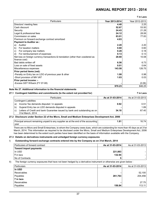` **in Lacs**

| <b>Particulars</b>                                                               | Year 2013-2014 | Year 2012-2013 |
|----------------------------------------------------------------------------------|----------------|----------------|
| Directors' meeting fees                                                          | 4.40           | 2.25           |
| Cash discount                                                                    | 52.67          | 53.50          |
| Security                                                                         | 24.43          | 21.28          |
| Legal & professional fees                                                        | 24.12          | 28.06          |
| Commission on sales                                                              | 83.01          | 77.83          |
| Premium on forward exchange contract amortized                                   | 4.83           |                |
| <b>Payment to Auditor as:</b>                                                    |                |                |
| Auditor<br>a)                                                                    | 2.20           | 2.20           |
| For taxation matters<br>b)                                                       | 0.60           | 0.60           |
| For company law matters<br>C)                                                    | 0.28           | 0.18           |
| For reimbursement of expenses<br>d)                                              | 0.13           | 0.13           |
| Net loss on foreign currency transactions & translation (other than cosidered as | 28.60          | 10.08          |
| finance cost)                                                                    |                |                |
| Bad debts written off                                                            | 6.56           | 6.73           |
| Loss on sale of fixed assets                                                     | 0.01           | 0.64           |
| Miscellaneous expenses                                                           | 143.58         | 126.75         |
| Prior period items (net):                                                        |                |                |
| -Penalty on Entry tax on LDO of previous year & other                            | 1.08           | 0.98           |
| -Short provision of MH VAT                                                       | 1.03           | 0.03           |
| Prior period income :-                                                           |                |                |
| -Excess GST W/back (FY 07-08)                                                    |                | (0.06)         |
|                                                                                  | 970.23         | 846.25         |

### **Note No 27. Additional information to the financial statements**

### **27.1 Contingent liabilities and commitments (to the extent not provided for)** ` **in Lacs**

|    | <b>Particulars</b>                                                        | As at 31-03-2014 | As at 31-03-2013 |
|----|---------------------------------------------------------------------------|------------------|------------------|
|    | <b>Contingent Liabilities</b>                                             |                  |                  |
| a) | Income Tax demands disputed / in appeals                                  | 0.92             | 0.51             |
| b) | Gujarat Entry tax on LDO demands disputed in appeals                      |                  | 1.89             |
| C) | Letters of Credit and bank Guarantee issued by bank and outstanding as on | 34.18            | 67.40            |
|    | 31st March, 2014                                                          |                  |                  |

### **27.2 Disclosure under Section 22 of the Micro, Small and Medium Enterprises Development Act, 2006**

| Principal amount remaining unpaid to any supplier as at the end o<br><b>1 of the accounting</b> | . . |
|-------------------------------------------------------------------------------------------------|-----|
| vear                                                                                            |     |

There are no Micro and Small Enterprises, to whom the Company owes dues, which are outstanding for more than 45 days as at 31st March, 2014. This information as required to be disclosed under the Micro, Small and Medium Enterprises Development Act, 2006 has been determined to the extent such parties have been identified on the basis of information available with the Company.

### **27.3 Details on derivatives instruments and unhedged foreign currency exposures**

#### I) **Outstanding forward exchange contracts entered into by the Company as on 31st March, 2014**

| Particulars of forward contract | As at 31-03-2014 | As at 31-03-2013 |
|---------------------------------|------------------|------------------|
| Toward import payments          |                  |                  |
| In USD                          | 221,883          |                  |
| । ₹ in lacs                     | 132.94           |                  |
| l No of Contracts               | 5                |                  |

II) The foreign currency exposures that have not been hedged by a derivative instrument or otherwise are given below :

| Particulars   | As at 31-03-2014 | As at 31-03-2013 |
|---------------|------------------|------------------|
| In USD        |                  |                  |
| Receivables   |                  | 52,100           |
| Payables      | 261,763          | 204,456          |
| $ $ ₹ in lacs |                  |                  |
| Receivables   |                  | 27.75            |
| Payables      | 156.84           | 113.11           |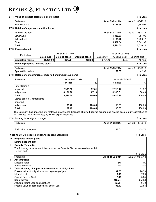### **27.4 Value of imports calculated on CIF basis** ` **in Lacs**

| Particulars                             | As at 31-03-2014 | As at 31-03-2013  |
|-----------------------------------------|------------------|-------------------|
| Raw Materials                           | 2,726.50         | 2,362.95          |
| 27.5 Details of major consumption items |                  | $\bar{z}$ in Lacs |
| Name of the item                        | As at 31-03-2014 | As at 31-03-2013  |
| Dimer Acid                              | 1,330.53         | 984.06            |
| Xylene fresh                            | 1.191.48         | 1,290.17          |
| Other                                   | 6,589.64         | 6,341.95          |

### **Total 9,111.65** 8,616.18

### **27.6 Finished goods** ` **in Lacs**

| Particulars              |             | As at 31-03-2014 |               |             | As at 31-03-2013 |               |
|--------------------------|-------------|------------------|---------------|-------------|------------------|---------------|
|                          | Sales (net) | Closing stock    | Opening stock | Sales (net) | Closing stock    | Opening stock |
| <b>Synthethic resins</b> | 11.490.09   | 394.29           | 482.20        | 10.724.12   | 482.20           | 407.59        |

### **27.7 Work in progress - closing stock** ` **in Lacs**

| ٦Ι٢        | ulars  | $-03-2014$<br>.<br>^^ ^*<br>- 12 | 0010<br>$\sim$<br>n+<br>As<br>я<br>$1.3 - 7$<br>כו ש |
|------------|--------|----------------------------------|------------------------------------------------------|
| Svnthethic | resins | 170<br>--<br>149.91              | ഹ<br>ຯ∠.ອບ                                           |

### **27.8 Details of consumption of imported and indigenous items** ` **in Lacs**

| <b>Particulars</b>           | As at 31-03-2014     |        |                      | As at 31-03-2013 |
|------------------------------|----------------------|--------|----------------------|------------------|
|                              | $\bar{\tau}$ in lacs | %      | $\bar{\tau}$ in lacs | %                |
| Raw Materials:               |                      |        |                      |                  |
| Imported                     | 2,989.68             | 32.81  | 2,715.47             | 31.52            |
| Indigenous                   | 6,121.96             | 67.19  | 5,900.71             | 68.48            |
| <b>Total</b>                 | 9,111.65             | 100.00 | 8,616.18             | 100.00           |
| Stores spares & components : |                      |        |                      |                  |
| Imported                     |                      |        |                      |                  |
| Indigenous                   | 39.42                | 100.00 | 33.78                | 100.00           |
| Total                        | 39.42                | 100.00 | 33.78                | 100.00           |

The Company has imported raw materials on Advance Licenses obtained against exports and availed custom duty exemption of ₹17.39 Lacs (PY ₹ 19.05 Lacs) by way of export incentives

### **27.9 Earning in foreign exchange** ` **in Lacs**

| Particulars          | As at 31-03-2014 | As at 31-03-2013 |
|----------------------|------------------|------------------|
| FOB value of exports | 132.02           | 174.75           |

### **Note no 28. Disclosures under Accounting Standards** ` **in Lacs**

### **28. Employee benefit plans Defined benefit plan I) Gratuity (Funded) :** The following table sets out the status of the Gratuity Plan as required under AS 15 (Revised) ` **in Lacs** Particulars **As at 31-03-2014** As at 31-03-2013 **1 Assumptions :** Discount Rate **8%** 8% Salary Escalation **4%** 4% **2 Table showing changes in present value of obligations :** Present value of obligations as at beginning of year **92.85** 98.59 Interest cost **7.43** 7.89 Current Service Cost **5.13** 5.04 Benefits Paid **(10.74)** (25.38) Actuarial (gain)/Loss on obligations **(3.75)** 6.70 Present value of obligations as at end of year **92.85 98.42** 98.42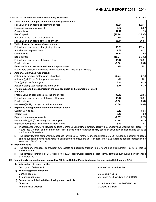**Note no 28. Disclosures under Accounting Standards** ` **in Lacs 3 Table showing changes in the fair value of plan assets :** Fair value of plan assets at beginning of year **102.41 102.41 102.41** Expected return on plan assets **7.87** 8.22 Contributions **11.17** 1.56 Benefits paid **(10.74)** (25.38) Actuarial Gain / (Loss) on Plan assets **NIL** NIL **NIL** NIL **NIL** Fair value of plan assets at the end of year **96.81 95.11 95.11 95.11 95.11 4 Table showing fair value of plan assets :** Fair value of plan assets at beginning of year **86.81** 102.41 Actual return on plan assets **7.87** 8.22 Contributions **11.17** 1.56 Benefits Paid **(10.74)** (25.38) Fair value of plan assets at the end of year **96.81 95.12 95.12 95.12 86.81** Funded status **(3.30)** (6.04) Excess of Actual over estimated return on plan assets **NIL NIL NIL NIL** (Actual rate of return = Estimated rate of return as ARD falls on 31st March) **5 Actuarial Gain/Loss recognized :** Actuarial gain/(Loss) for the year - Obligation **(3.74)** (6.70) Actuarial (gain)/Loss for the year - plan assets **NIL** NIL **NIL** NIL NIL NIL NIL Total (gain)/Loss for the year **3.74** 6.70 Actuarial (gain)/Loss recognized in the year **3.74 3.74 3.74 3.70 3.74 3.76 6 The amounts to be recognized in the balance sheet and statements of profit and loss :** Present value of obligations as at the end of year **98.42** 92.85 Fair value of plan assets as at the end of the year **95.12 95.12 95.12 95.12 86.81** Funded status **(3.30)** (6.04) Net Asset/(liability) recognized in balance sheet **(3.30)** (6.04) **7 Expenses Recognised in statement of Profit & loss :** Current Service cost **5.13** 5.04 Interest Cost **7.43** 7.89 Expected return on plan assets **(7.87)** (8.22) Net Actuarial (gain)/Loss recognised in the year **(3.74)** 6.70 Expenses recognised in statement of Profit & loss **8.43** 11.41 a In accordance with AS 15 Revised pertains to Defined Benefit Plan- Gratuity liability, the company has Credited  $\bar{z}$  2.73 lacs (PY ` 8.78 lacs-Credited) to the statement of Profit & Loss towards accrued liability based on actuarial valuation carried out as at the Balance Sheet date. b The liability towards compensated absences (annual value) for the year ended 31st March, 2014, based on acturial valuation carried out using the Projected Accrued Benefit Method amounting to  $\bar{\zeta}$  1.86 lacs (PY  $\bar{\zeta}$  8.06 lacs) has been recognised in the statement of Profit and Loss.  **II) Provident Fund :** a The company manages its provident fund assets and liabilities through its provident fund trust namely "Resins & Plastics Provident fund ". b The company contributed  $\bar{\tau}$  21.37 lacs (PY  $\bar{\tau}$  19.04 lacs) towards Resins & Plastics Provident fund trust during the year ended 31st March, 2014. **29. Related party transactons as required by AS-18 on Related Party Disclosure for year ended 31st March, 2014. I) Information of related parties** Description of relationship Name of the related parties **a) Key Management Personnel :** Managing Director **Mr. Gobind J. Lulla** Jt. Managing Director Mr. Rupen A. Choksi (w.e.f. 21/06/2013) **b) Promotors and their relatives having direct controls** Chairman Mr. Abhay A. Vakil ( w.e.f 04/09/2013) Non Executive Director **Mr. Ashwin S. Dani**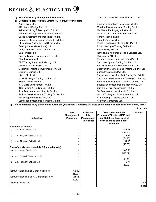| <b>Relatives of Key Management Personnel:</b><br>$c)$             | Mrs. Lata Lulla (wife of Mr. Gobind J. Lulla)   |
|-------------------------------------------------------------------|-------------------------------------------------|
| <b>Companies controlled by Directors / Relatives of Directors</b> |                                                 |
| Asian Paints Ltd.                                                 | Lyon Investment and Industries Pvt. Ltd.        |
| AR Intertect Design Pvt. Ltd.                                     | Murahar Investments and Trading Co. Ltd.        |
| Avinash Holding & Trading Co. Pvt. Ltd.                           | Navbharat Packaging Industries Ltd.             |
| Asteroids Trading and Investments Pvt. Ltd.                       | Nehal Trading and Investments Pvt. Ltd.         |
| Castle Investment and Industries Pyt. Ltd.                        | Parekh Plast India Ltd                          |
| Centaurus Trading and Investments Pvt. Ltd.                       | Pragati Chemicals Ltd.                          |
| Clear Mipak Packaging and Solutions Ltd.                          | Rayirth Holding and Trading Co. Pvt. Ltd.       |
| Coatings Specialities (India) Ltd.                                | Rrituh Holding & Trading Co Pvt Ltd.,           |
| Canes Venatici Trading Co. Pvt. Ltd.                              | Riash Realty Pvt Ltd.                           |
| Dani Finlease Ltd.                                                | Rangudyan Insurance Broking Services Ltd.       |
| Doli Trading and Investments Pvt. Ltd.                            | Ricinash Oil Mill Ltd.                          |
| Elcid Investments Ltd.                                            | Rupen Investment and Industries Pvt. Ltd.       |
| ELF Trading and Chemicals Mfg. Ltd.                               | Smiti Holding and Trading Co. Pvt. Ltd.         |
| Germinait Solutions Pvt. Ltd.                                     | S.C. Dani Research Foundation Pyt. Ltd.         |
| Geetanjali Trading & Investments Pvt. Ltd.                        | Sadavani Investments and Trading Co. Pvt. Ltd.  |
| Gujarat Organics Ltd.                                             | Sapan Investments Pvt. Ltd.                     |
| Hitech Plast Ltd.                                                 | Satyadharma Investments & Trading Co. Pvt. Ltd. |
| Haish Holding & Trading Co. Pvt. Ltd.                             | Sudhanva Investments and Trading Co. Pvt. Ltd.  |
| Hydra Trading Pvt. Ltd                                            | Suprasad Investments & Trading Co. Pvt. Ltd.    |
| ISIS Skills Development Pvt. Ltd.                                 | Suptaswar Investments and Trading Co. Ltd.      |
| ISIS Holding & Trading Co. Pvt. Ltd.                              | Suryakant Paint Accessories Pvt. Ltd.           |
| Jalaj Trading and Investments Pvt. Ltd.                           | Tru Trading and Investments Pvt. Ltd.           |
| Jaldhar Investments and Trading Co. Pvt. Ltd.                     | Unnati Trading and Investments Pvt. Ltd.        |
| Kalica Paper Industries Pvt. Ltd.                                 | Vijal Holding & Trading Co. Pvt. Ltd.           |
| Lambodar Investments & Trading Co. Ltd.                           | Vikatmey Containers Ltd.                        |

 **II) Details of related party transactions during the year ended 31st March, 2014 and outstanding balances as at 31st March, 2014 :**

| <b>Particulars</b>                               | Key<br><b>Management</b><br><b>Personnel</b> | <b>Relatives</b><br>of Key<br><b>Management</b><br><b>Personnel</b> | <b>Companies in which</b><br>Promotors/Directors/KMP and<br>their Relatives have control<br>/ can exercise significant<br>influence | <b>Directors</b> |
|--------------------------------------------------|----------------------------------------------|---------------------------------------------------------------------|-------------------------------------------------------------------------------------------------------------------------------------|------------------|
| <b>Purchase of goods:</b>                        |                                              |                                                                     |                                                                                                                                     |                  |
| M/s. Asian Paints Ltd.<br>a)                     |                                              |                                                                     | 326.08                                                                                                                              |                  |
|                                                  |                                              |                                                                     | (449.92)                                                                                                                            |                  |
| M/s. Pragati Chemicals Ltd.<br>b)                |                                              |                                                                     | 4.69                                                                                                                                |                  |
|                                                  |                                              |                                                                     | (54.46)                                                                                                                             |                  |
| M/s. Ricinash Oil Mill Ltd.<br>C)                |                                              |                                                                     | 54.00                                                                                                                               |                  |
|                                                  |                                              |                                                                     | (40.65)                                                                                                                             |                  |
| Sale of goods (raw materials & finished goods) : |                                              |                                                                     |                                                                                                                                     |                  |
| M/s. Asian Paints Ltd.<br>a)                     |                                              |                                                                     | 1,140.08                                                                                                                            |                  |
|                                                  |                                              |                                                                     | (1,315.32)                                                                                                                          |                  |
| M/s. Pragati Chemicals Ltd.<br>b)                |                                              |                                                                     |                                                                                                                                     |                  |
|                                                  |                                              |                                                                     | (0.46)                                                                                                                              |                  |
| M/s. Ricinash Oil Mill Ltd.<br>C)                |                                              |                                                                     | 0.77                                                                                                                                |                  |
|                                                  |                                              |                                                                     | (2.83)                                                                                                                              |                  |
|                                                  |                                              |                                                                     |                                                                                                                                     |                  |
| Remuneration paid to Managing Director           | 65.49                                        |                                                                     |                                                                                                                                     |                  |
|                                                  | (55.20)                                      |                                                                     |                                                                                                                                     |                  |
| Remuneration paid to Jt. Managing Director       | 24.16                                        |                                                                     |                                                                                                                                     |                  |
|                                                  | (20.57)                                      |                                                                     |                                                                                                                                     |                  |
| Directors' sitting fees                          |                                              |                                                                     |                                                                                                                                     | 4.40             |
|                                                  |                                              |                                                                     |                                                                                                                                     | (2.25)           |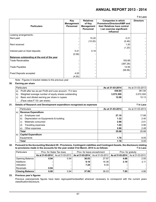| ₹ in Lacs                                   |                                                     |                                                              |                                                                                                                                     |                  |  |  |  |
|---------------------------------------------|-----------------------------------------------------|--------------------------------------------------------------|-------------------------------------------------------------------------------------------------------------------------------------|------------------|--|--|--|
| <b>Particulars</b>                          | <b>Key</b><br><b>Management</b><br><b>Personnel</b> | <b>Relatives</b><br>of Key<br>Management<br><b>Personnel</b> | <b>Companies in which</b><br>Promotors/Directors/KMP and<br>their Relatives have control<br>/ can exercise significant<br>influence | <b>Directors</b> |  |  |  |
| Leasing arrangements:                       |                                                     |                                                              |                                                                                                                                     |                  |  |  |  |
| Rent paid                                   |                                                     | 10.20                                                        | 0.21                                                                                                                                |                  |  |  |  |
|                                             |                                                     | (10.20)                                                      | (0.46)                                                                                                                              |                  |  |  |  |
| Rent received                               |                                                     |                                                              | 1.20                                                                                                                                |                  |  |  |  |
|                                             |                                                     |                                                              | (1.20)                                                                                                                              |                  |  |  |  |
| Interest paid on fixed deposits             | 0.41                                                | 0.18                                                         |                                                                                                                                     |                  |  |  |  |
|                                             | (0.58)                                              |                                                              |                                                                                                                                     |                  |  |  |  |
| Balances outstanding at the end of the year |                                                     |                                                              |                                                                                                                                     |                  |  |  |  |
| Trade Receivables                           |                                                     |                                                              | 183.89                                                                                                                              |                  |  |  |  |
|                                             |                                                     |                                                              | (387.28)                                                                                                                            |                  |  |  |  |
| Trade Payables                              |                                                     |                                                              | 14.94                                                                                                                               |                  |  |  |  |
|                                             |                                                     |                                                              | (58.56)                                                                                                                             |                  |  |  |  |
| <b>Fixed Deposits accepted</b>              | 4.00                                                |                                                              |                                                                                                                                     |                  |  |  |  |
|                                             | (4.00)                                              |                                                              |                                                                                                                                     |                  |  |  |  |

Note : Figures in bracket relates to the previous year

### **30. Earning per share**

| Particulars                                                                  | As at 31-03-2014 | As at 31-03-2013 |
|------------------------------------------------------------------------------|------------------|------------------|
| Profit after tax as per Profit and Loss account - $\bar{\tau}$ in lacs<br>a) | 430.84           | 361.94           |
| Weighted average number of equity shares outstanding<br>b)                   | 3.572.300        | 3.572.300        |
| Basic and diluted earning per share in rupees<br>C)                          | 12.06            | 10.13            |
| (Face value $\bar{\tau}$ 10/- per share)                                     |                  |                  |

### **31. Details of Research and Development expenditure recognised as expenses** ` **in Lacs**

|      | Particulars                                 | As at 31-03-2014 | As at 31-03-2013 |
|------|---------------------------------------------|------------------|------------------|
| a)   | <b>Revenue Expenditure</b>                  |                  |                  |
|      | Employee cost<br>a)                         | 27.10            | 17.89            |
|      | Depreciation on Equipments & building<br>b) | 1.32             | 2.40             |
|      | Materials consumed<br>$\mathbf{C}$          | 2.96             | 2.01             |
|      | Travelling expenses<br>d)                   | 1.04             | 0.90             |
|      | Other expenses<br>e)                        | 2.66             | 2.48             |
|      | Total                                       | 35.08            | 25.68            |
| b) l | <b>Capital Expenditure</b>                  |                  |                  |
|      | Equipments                                  | 1.76             | 8.05             |
|      | Total                                       | 1.76             | 8.05             |

### **32. Pursuant to the Accounting Standard 29 - Provisions, Contingent Liabilities and Contingent Assets, the disclosure relating to provisions made in the accounts for the year ended 31st March, 2014 is as follows:** ` **in Lacs**

| <b>Particulars</b>     | Prov. for Sales Tax dues |                  | Prov. for leave encashment |                  | Prov. for gratuity |                  |  |
|------------------------|--------------------------|------------------|----------------------------|------------------|--------------------|------------------|--|
|                        | As at 31-03-2014         | As at 31-03-2013 | As at 31-03-2014           | As at 31-03-2013 | As at 31-03-2014   | As at 31-03-2013 |  |
| Opening Balance        | 0.94                     | 0.94             | 36.03                      | 27.97            | 4.66               | 2.55             |  |
| Additions              |                          |                  | 9.10                       | 16.36            | 3.19               | 2.11             |  |
| Utilization            |                          |                  | 7.24                       | 8.30             |                    |                  |  |
| Reversals              | 0.94                     |                  |                            |                  |                    |                  |  |
| <b>Closing Balance</b> | 0.00                     | 0.94             | 37.89                      | 36.03            | 7.85               | 4.66             |  |

### **33. Previous year's figures**

Previous years/periods figures have been regrouped/reclassified wherever necessary to correspond with the current years classification/disclosure.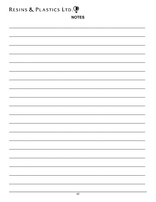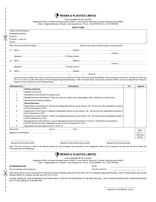| $\bigcirc$ resins & plastics limited |  |  |
|--------------------------------------|--|--|
|                                      |  |  |

(CIN:L25209MH1961PLC012223)

Registered Office: A-8 Marol Industrial Estate of MIDC, Cross Road B, Street No.5, Andheri (East),Mumbai 400093

Email : info@resplast.com, Website : www.resplast.com, Phone : 022-61987000, Fax : 022-61987099

|        |                        |                                                                            | <b>PROXY FORM</b>                                                                                                                                                                                               |     |                                      |
|--------|------------------------|----------------------------------------------------------------------------|-----------------------------------------------------------------------------------------------------------------------------------------------------------------------------------------------------------------|-----|--------------------------------------|
|        | Name of the Member(s)  |                                                                            |                                                                                                                                                                                                                 |     |                                      |
|        | Registered address:    |                                                                            |                                                                                                                                                                                                                 |     |                                      |
|        | Email Id:              |                                                                            |                                                                                                                                                                                                                 |     |                                      |
|        | Folio No. / Client ID: |                                                                            |                                                                                                                                                                                                                 |     |                                      |
| DP ID: |                        |                                                                            |                                                                                                                                                                                                                 |     |                                      |
|        |                        |                                                                            |                                                                                                                                                                                                                 |     |                                      |
| (1)    |                        |                                                                            |                                                                                                                                                                                                                 |     |                                      |
|        |                        |                                                                            |                                                                                                                                                                                                                 |     |                                      |
| (2)    |                        |                                                                            |                                                                                                                                                                                                                 |     |                                      |
|        |                        |                                                                            |                                                                                                                                                                                                                 |     |                                      |
| (3)    |                        |                                                                            |                                                                                                                                                                                                                 |     |                                      |
|        |                        |                                                                            |                                                                                                                                                                                                                 |     |                                      |
|        | <b>Resolution No.</b>  | respect of such resolutions as are indicated below:                        | 2014, at 11.00 am at MC Ghia Hall,2nd Floor, Bhogilal Hargovindas Building, 18/20 K Dubash Marg, Kala Ghoda, Mumbai 400001 and at any adjournment thereof in<br><b>Resolutions</b>                              | For | <b>Against</b>                       |
|        |                        | <b>Ordinary Business</b>                                                   |                                                                                                                                                                                                                 |     |                                      |
|        | -1                     | <b>Adoption of Accounts</b>                                                |                                                                                                                                                                                                                 |     |                                      |
|        | 2                      | Declaration of final dividend on equity shares                             |                                                                                                                                                                                                                 |     |                                      |
|        | 3                      |                                                                            | Re-appointment of Shri Abhay A. Vakil who retires by rotation and, being eligible, offers himself for re-appointment                                                                                            |     |                                      |
|        |                        | <b>Appointment of Statutory Auditors</b>                                   |                                                                                                                                                                                                                 |     |                                      |
|        |                        | <b>Special Business</b>                                                    |                                                                                                                                                                                                                 |     |                                      |
|        | 5                      | of the Companies Act, 2013                                                 | Appointment of Shri Bharat B. Chovatia as Independent Director as per Section 149, 152 and any other applicable provisions                                                                                      |     |                                      |
|        | 6                      | the Companies Act, 2013                                                    | Appointment of Shri Dhiren P. Mehta as Independent Director as per Section 149, 152 and any other applicable provisions of                                                                                      |     |                                      |
|        | 7                      | of the Companies Act, 2013                                                 | Appointment of Shri Chetan S. Thakkar as Independent Director as per Section 149, 152 and any other applicable provisions                                                                                       |     |                                      |
|        | 8                      | 196,197,203 and any other applicable provisions of the Companies Act, 2013 | Re-appointment of Shri Gobind J. Lulla as Managing Director for the period 01.10.2013 to 30.09.2016 as per Sections                                                                                             |     |                                      |
|        | 9                      | Appointment of Cost Auditor for the F.Y. 2014-15                           |                                                                                                                                                                                                                 |     |                                      |
|        |                        |                                                                            |                                                                                                                                                                                                                 |     | Affix<br>Re. 1/-<br>Revenue<br>Stamp |
|        |                        | Signature of first Proxy holder                                            | Signature of the Second proxy holder<br>Signature of third proxy holder                                                                                                                                         |     |                                      |
|        |                        | commencement of the Meeting.                                               | Note: This form of proxy in order to be effective should be duly completed and deposited at the Registered Office of the Company, not less than 48 hours before the                                             |     |                                      |
|        |                        |                                                                            | RESINS & PLASTICS LIMITED                                                                                                                                                                                       |     |                                      |
|        |                        |                                                                            | (CIN:L25209MH1961PLC012223)                                                                                                                                                                                     |     |                                      |
|        |                        |                                                                            | Registered Office: A-8 Marol Industrial Estate of MIDC, Cross Road B, Street No.5, Andheri (East), Mumbai 400093<br>Email: info@resplast.com, Website: www.resplast.com, Phone: 022-61987000, Fax: 022-61987099 |     |                                      |
|        |                        |                                                                            |                                                                                                                                                                                                                 |     |                                      |
|        | <b>ATTENDANCE SLIP</b> |                                                                            | DP ID                                                                                                                                                                                                           |     |                                      |
|        |                        | (To be presented at the entrance)                                          | Folio No./Client ID                                                                                                                                                                                             |     |                                      |

PLEASE COMPLETE THIS ATTENDANCE SLIP AND HAND IT OVER AT THE ENTRANCE OF THE MEETING HALL. JOINT SHAREHOLDER(S) MAY OBTAIN ADDITIONAL SLIP AT THE VENUE OF THE MEETING.